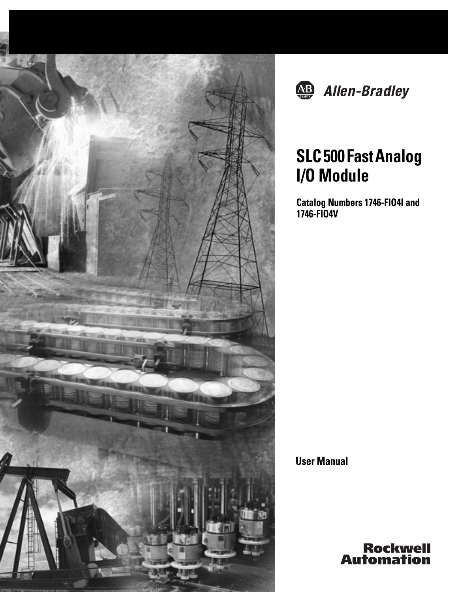



# **SLC 500 Fast Analog I/O Module**

**Catalog Numbers 1746-FIO4I and 1746-FIO4V**

**User Manual**

**Rockwell**<br>Automation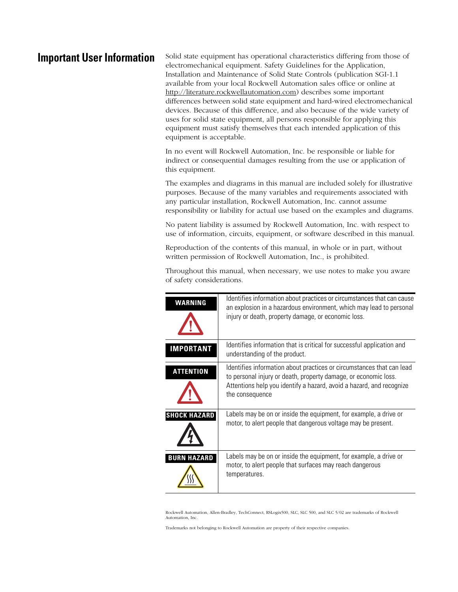**Important User Information** Solid state equipment has operational characteristics differing from those of electromechanical equipment. Safety Guidelines for the Application, Installation and Maintenance of Solid State Controls (publication SGI-1.1 available from your local Rockwell Automation sales office or online at [http://literature.rockwellautomation.com\)](http://literature.rockwellautomation.com) describes some important differences between solid state equipment and hard-wired electromechanical devices. Because of this difference, and also because of the wide variety of uses for solid state equipment, all persons responsible for applying this equipment must satisfy themselves that each intended application of this equipment is acceptable.

> In no event will Rockwell Automation, Inc. be responsible or liable for indirect or consequential damages resulting from the use or application of this equipment.

The examples and diagrams in this manual are included solely for illustrative purposes. Because of the many variables and requirements associated with any particular installation, Rockwell Automation, Inc. cannot assume responsibility or liability for actual use based on the examples and diagrams.

No patent liability is assumed by Rockwell Automation, Inc. with respect to use of information, circuits, equipment, or software described in this manual.

Reproduction of the contents of this manual, in whole or in part, without written permission of Rockwell Automation, Inc., is prohibited.

Throughout this manual, when necessary, we use notes to make you aware of safety considerations.

| WARNING             | Identifies information about practices or circumstances that can cause<br>an explosion in a hazardous environment, which may lead to personal<br>injury or death, property damage, or economic loss.                                |
|---------------------|-------------------------------------------------------------------------------------------------------------------------------------------------------------------------------------------------------------------------------------|
| <b>IMPORTANT</b>    | Identifies information that is critical for successful application and<br>understanding of the product.                                                                                                                             |
| <b>ATTENTION</b>    | Identifies information about practices or circumstances that can lead<br>to personal injury or death, property damage, or economic loss.<br>Attentions help you identify a hazard, avoid a hazard, and recognize<br>the consequence |
| <b>SHOCK HAZARD</b> | Labels may be on or inside the equipment, for example, a drive or<br>motor, to alert people that dangerous voltage may be present.                                                                                                  |
| <b>BURN HAZARD</b>  | Labels may be on or inside the equipment, for example, a drive or<br>motor, to alert people that surfaces may reach dangerous<br>temperatures.                                                                                      |

Rockwell Automation, Allen-Bradley, TechConnect, RSLogix500, SLC, SLC 500, and SLC 5/02 are trademarks of Rockwell Automation, Inc.

Trademarks not belonging to Rockwell Automation are property of their respective companies.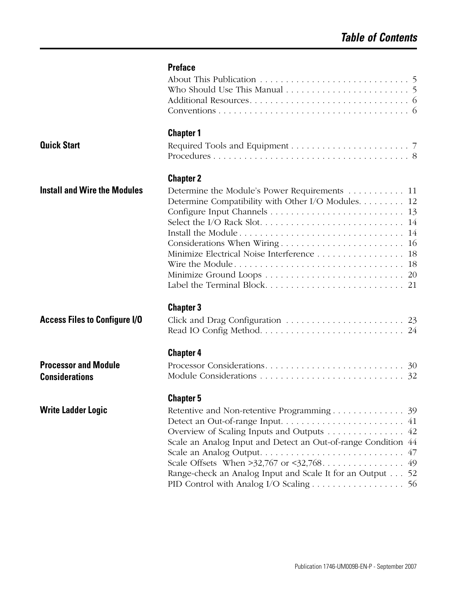|                                                      | <b>Preface</b>                                                                                                                                                                              |  |
|------------------------------------------------------|---------------------------------------------------------------------------------------------------------------------------------------------------------------------------------------------|--|
|                                                      |                                                                                                                                                                                             |  |
|                                                      | <b>Chapter 1</b>                                                                                                                                                                            |  |
| <b>Quick Start</b>                                   |                                                                                                                                                                                             |  |
|                                                      | <b>Chapter 2</b>                                                                                                                                                                            |  |
| <b>Install and Wire the Modules</b>                  | Determine the Module's Power Requirements 11<br>Determine Compatibility with Other I/O Modules. 12<br>Minimize Electrical Noise Interference 18                                             |  |
| <b>Access Files to Configure I/O</b>                 | <b>Chapter 3</b>                                                                                                                                                                            |  |
| <b>Processor and Module</b><br><b>Considerations</b> | <b>Chapter 4</b>                                                                                                                                                                            |  |
| <b>Write Ladder Logic</b>                            | <b>Chapter 5</b><br>Overview of Scaling Inputs and Outputs 42<br>Scale an Analog Input and Detect an Out-of-range Condition 44<br>Range-check an Analog Input and Scale It for an Output 52 |  |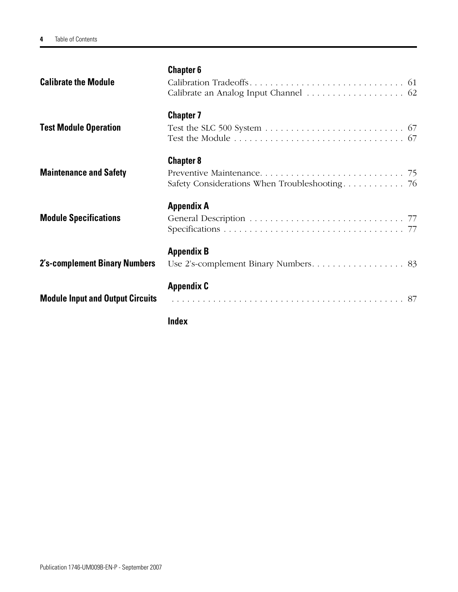|                                         | Index             |  |
|-----------------------------------------|-------------------|--|
| <b>Module Input and Output Circuits</b> | <b>Appendix C</b> |  |
| <b>2's-complement Binary Numbers</b>    | <b>Appendix B</b> |  |
| <b>Module Specifications</b>            | <b>Appendix A</b> |  |
| <b>Maintenance and Safety</b>           | <b>Chapter 8</b>  |  |
| <b>Test Module Operation</b>            | <b>Chapter 7</b>  |  |
| <b>Calibrate the Module</b>             | <b>Chapter 6</b>  |  |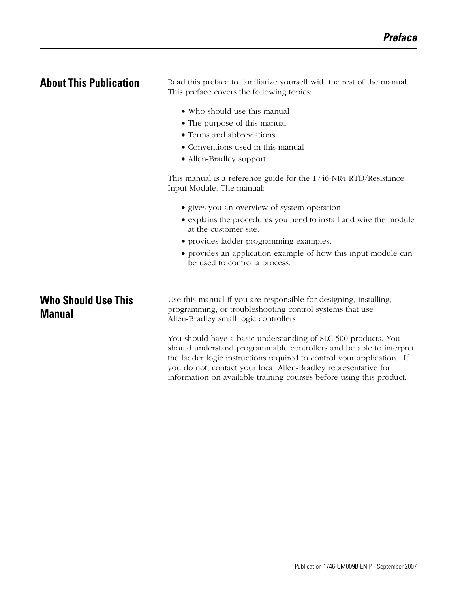<span id="page-4-1"></span><span id="page-4-0"></span>**About This Publication** Read this preface to familiarize yourself with the rest of the manual. This preface covers the following topics:

- Who should use this manual
- The purpose of this manual
- Terms and abbreviations
- Conventions used in this manual
- Allen-Bradley support

This manual is a reference guide for the 1746-NR4 RTD/Resistance Input Module. The manual:

- gives you an overview of system operation.
- explains the procedures you need to install and wire the module at the customer site.
- provides ladder programming examples.
- provides an application example of how this input module can be used to control a process.

## <span id="page-4-2"></span>**Who Should Use This Manual**

Use this manual if you are responsible for designing, installing, programming, or troubleshooting control systems that use Allen-Bradley small logic controllers.

You should have a basic understanding of SLC 500 products. You should understand programmable controllers and be able to interpret the ladder logic instructions required to control your application. If you do not, contact your local Allen-Bradley representative for information on available training courses before using this product.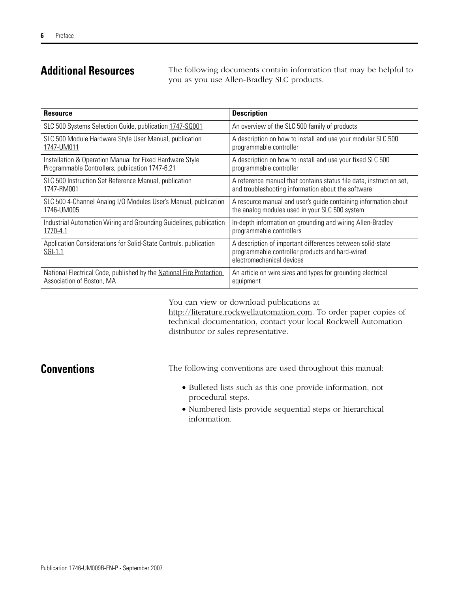**Additional Resources** The following documents contain information that may be helpful to you as you use Allen-Bradley SLC products.

| <b>Resource</b>                                                             | <b>Description</b>                                                                                                                         |
|-----------------------------------------------------------------------------|--------------------------------------------------------------------------------------------------------------------------------------------|
| SLC 500 Systems Selection Guide, publication 1747-SG001                     | An overview of the SLC 500 family of products                                                                                              |
| SLC 500 Module Hardware Style User Manual, publication                      | A description on how to install and use your modular SLC 500                                                                               |
| 1747-UM011                                                                  | programmable controller                                                                                                                    |
| Installation & Operation Manual for Fixed Hardware Style                    | A description on how to install and use your fixed SLC 500                                                                                 |
| Programmable Controllers, publication 1747-6.21                             | programmable controller                                                                                                                    |
| SLC 500 Instruction Set Reference Manual, publication                       | A reference manual that contains status file data, instruction set,                                                                        |
| 1747-RM001                                                                  | and troubleshooting information about the software                                                                                         |
| SLC 500 4-Channel Analog I/O Modules User's Manual, publication             | A resource manual and user's guide containing information about                                                                            |
| 1746-UM005                                                                  | the analog modules used in your SLC 500 system.                                                                                            |
| Industrial Automation Wiring and Grounding Guidelines, publication          | In-depth information on grounding and wiring Allen-Bradley                                                                                 |
| 1770-4.1                                                                    | programmable controllers                                                                                                                   |
| Application Considerations for Solid-State Controls. publication<br>SGI-1.1 | A description of important differences between solid-state<br>programmable controller products and hard-wired<br>electromechanical devices |
| National Electrical Code, published by the National Fire Protection         | An article on wire sizes and types for grounding electrical                                                                                |
| <b>Association of Boston, MA</b>                                            | equipment                                                                                                                                  |

You can view or download publications at <http://literature.rockwellautomation.com>. To order paper copies of technical documentation, contact your local Rockwell Automation distributor or sales representative.

<span id="page-5-0"></span>**Conventions** The following conventions are used throughout this manual:

- Bulleted lists such as this one provide information, not procedural steps.
- Numbered lists provide sequential steps or hierarchical information.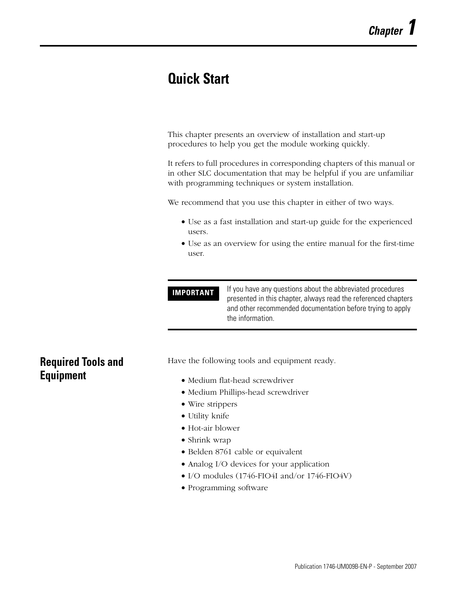# <span id="page-6-1"></span><span id="page-6-0"></span>**Quick Start**

This chapter presents an overview of installation and start-up procedures to help you get the module working quickly.

It refers to full procedures in corresponding chapters of this manual or in other SLC documentation that may be helpful if you are unfamiliar with programming techniques or system installation.

We recommend that you use this chapter in either of two ways.

- Use as a fast installation and start-up guide for the experienced users.
- Use as an overview for using the entire manual for the first-time user.

**IMPORTANT** If you have any questions about the abbreviated procedures presented in this chapter, always read the referenced chapters and other recommended documentation before trying to apply the information.

## <span id="page-6-2"></span>**Required Tools and Equipment**

Have the following tools and equipment ready.

- Medium flat-head screwdriver
- Medium Phillips-head screwdriver
- Wire strippers
- Utility knife
- Hot-air blower
- Shrink wrap
- Belden 8761 cable or equivalent
- Analog I/O devices for your application
- I/O modules (1746-FIO4I and/or 1746-FIO4V)
- Programming software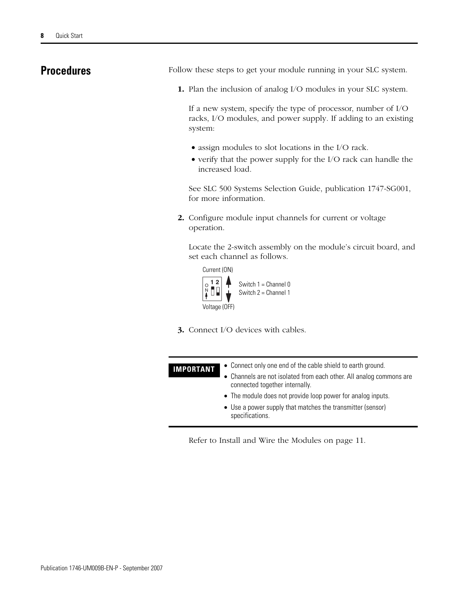<span id="page-7-0"></span>**Procedures** Follow these steps to get your module running in your SLC system.

**1.** Plan the inclusion of analog I/O modules in your SLC system.

If a new system, specify the type of processor, number of I/O racks, I/O modules, and power supply. If adding to an existing system:

- assign modules to slot locations in the I/O rack.
- verify that the power supply for the I/O rack can handle the increased load.

See SLC 500 Systems Selection Guide, publication 1747-SG001, for more information.

**2.** Configure module input channels for current or voltage operation.

Locate the 2-switch assembly on the module's circuit board, and set each channel as follows.



**3.** Connect I/O devices with cables.

| <b>IMPORTANT</b> | • Connect only one end of the cable shield to earth ground.<br>• Channels are not isolated from each other. All analog commons are<br>connected together internally. |
|------------------|----------------------------------------------------------------------------------------------------------------------------------------------------------------------|
|                  | • The module does not provide loop power for analog inputs.<br>• Use a power supply that matches the transmitter (sensor)<br>specifications.                         |

[Refer to Install and Wire the Modules on page 11](#page-10-3).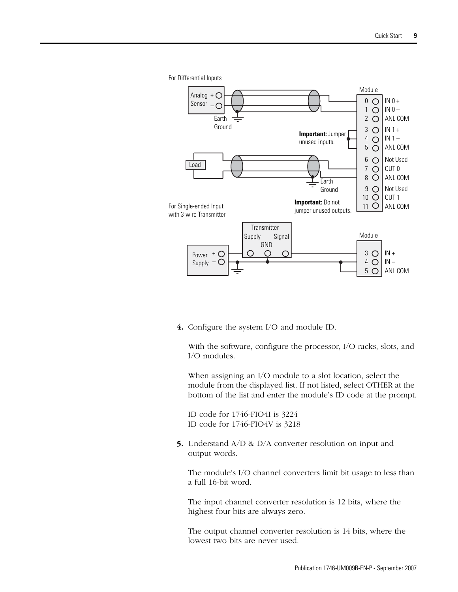

**4.** Configure the system I/O and module ID.

With the software, configure the processor, I/O racks, slots, and I/O modules.

When assigning an I/O module to a slot location, select the module from the displayed list. If not listed, select OTHER at the bottom of the list and enter the module's ID code at the prompt.

ID code for 1746-FIO4I is 3224 ID code for 1746-FIO4V is 3218

**5.** Understand A/D & D/A converter resolution on input and output words.

The module's I/O channel converters limit bit usage to less than a full 16-bit word.

The input channel converter resolution is 12 bits, where the highest four bits are always zero.

The output channel converter resolution is 14 bits, where the lowest two bits are never used.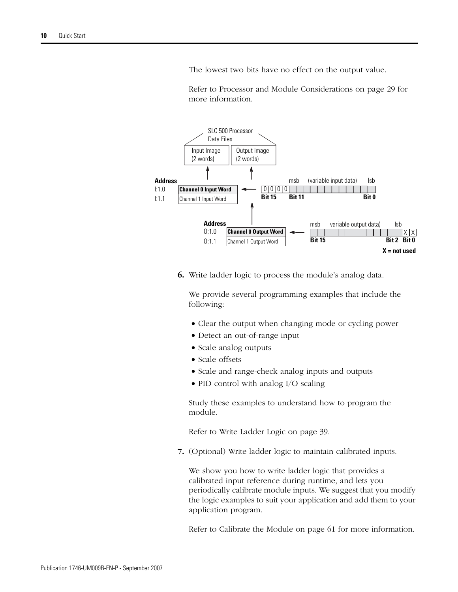The lowest two bits have no effect on the output value.

[Refer to Processor and Module Considerations on page 29](#page-28-2) for more information.



**6.** Write ladder logic to process the module's analog data.

We provide several programming examples that include the following:

- Clear the output when changing mode or cycling power
- Detect an out-of-range input
- Scale analog outputs
- Scale offsets
- Scale and range-check analog inputs and outputs
- PID control with analog I/O scaling

Study these examples to understand how to program the module.

[Refer to Write Ladder Logic on page 39](#page-38-3).

**7.** (Optional) Write ladder logic to maintain calibrated inputs.

We show you how to write ladder logic that provides a calibrated input reference during runtime, and lets you periodically calibrate module inputs. We suggest that you modify the logic examples to suit your application and add them to your application program.

[Refer to Calibrate the Module on page 61](#page-60-3) for more information.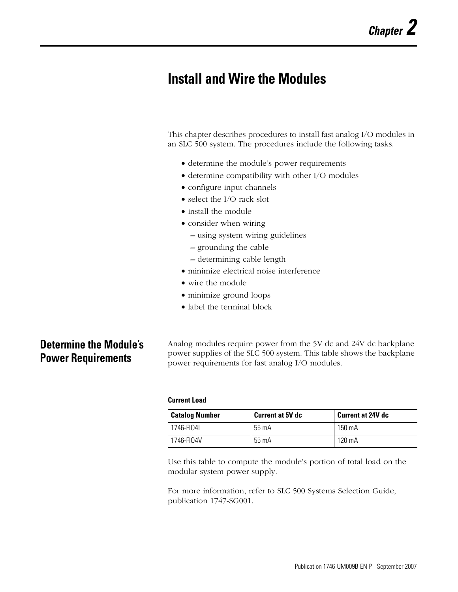# <span id="page-10-3"></span><span id="page-10-1"></span><span id="page-10-0"></span>**Install and Wire the Modules**

This chapter describes procedures to install fast analog I/O modules in an SLC 500 system. The procedures include the following tasks.

- determine the module's power requirements
- determine compatibility with other I/O modules
- configure input channels
- select the I/O rack slot.
- install the module
- consider when wiring
	- **–** using system wiring guidelines
	- **–** grounding the cable
	- **–** determining cable length
- minimize electrical noise interference
- wire the module
- minimize ground loops
- label the terminal block

## <span id="page-10-2"></span>**Determine the Module's Power Requirements**

Analog modules require power from the 5V dc and 24V dc backplane power supplies of the SLC 500 system. This table shows the backplane power requirements for fast analog I/O modules.

### **Current Load**

| <b>Catalog Number</b> | <b>Current at 5V dc</b> | <b>Current at 24V dc</b> |  |  |
|-----------------------|-------------------------|--------------------------|--|--|
| 1746-FI04I            | 55 mA                   | 150 mA                   |  |  |
| 1746-FI04V            | $55 \text{ mA}$         | 120 mA                   |  |  |

Use this table to compute the module's portion of total load on the modular system power supply.

For more information, refer to SLC 500 Systems Selection Guide, publication 1747-SG001.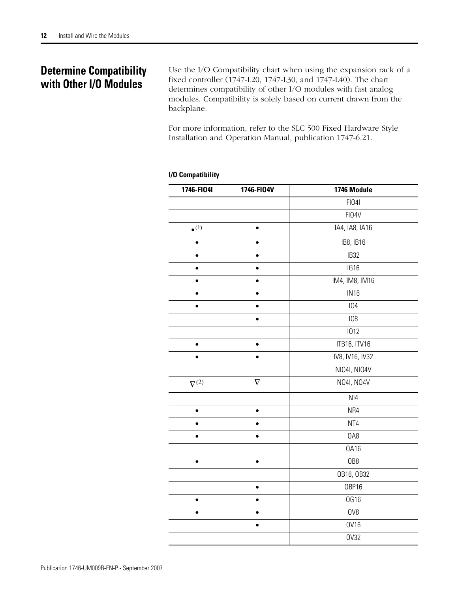## <span id="page-11-0"></span>**Determine Compatibility with Other I/O Modules**

Use the [I/O Compatibility](#page-11-1) chart when using the expansion rack of a fixed controller (1747-L20, 1747-L30, and 1747-L40). The chart determines compatibility of other I/O modules with fast analog modules. Compatibility is solely based on current drawn from the backplane.

For more information, refer to the SLC 500 Fixed Hardware Style Installation and Operation Manual, publication 1747-6.21.

| 1746-FI04I      | 1746-FI04V | 1746 Module      |
|-----------------|------------|------------------|
|                 |            | <b>FI041</b>     |
|                 |            | FI04V            |
| $\bullet^{(1)}$ | $\bullet$  | IA4, IA8, IA16   |
| $\bullet$       | $\bullet$  | IB8, IB16        |
|                 |            | IB32             |
|                 |            | IG16             |
|                 | $\bullet$  | IM4, IM8, IM16   |
| ó               | $\bullet$  | IN <sub>16</sub> |
|                 |            | 104              |
|                 |            | 108              |
|                 |            | 1012             |
| $\bullet$       | $\bullet$  | ITB16, ITV16     |
| $\bullet$       | $\bullet$  | IV8, IV16, IV32  |
|                 |            | NI04I, NI04V     |
| $\nabla^{(2)}$  | $\nabla$   | N04I, N04V       |
|                 |            | N <sub>14</sub>  |
| $\bullet$       | $\bullet$  | NR4              |
|                 | $\bullet$  | NT4              |
|                 | $\bullet$  | OA8              |
|                 |            | 0A16             |
| $\bullet$       | $\bullet$  | OB8              |
|                 |            | OB16, OB32       |
|                 | $\bullet$  | OBP16            |
|                 | ė          | <b>0G16</b>      |
| $\bullet$       | $\bullet$  | OV8              |
|                 | $\bullet$  | <b>OV16</b>      |
|                 |            | <b>OV32</b>      |

### <span id="page-11-1"></span>**I/O Compatibility**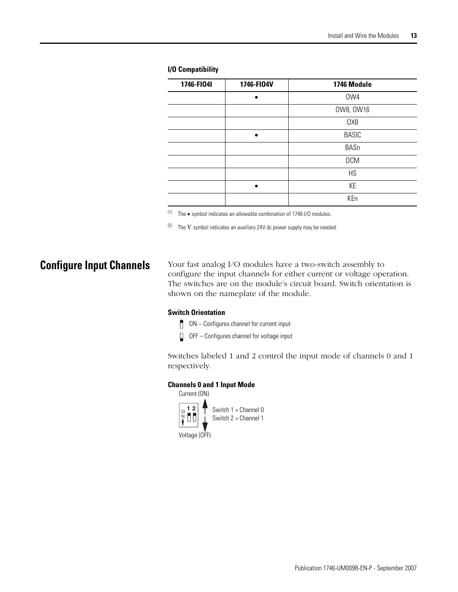| 1746-FI04I | 1746-FI04V | 1746 Module  |
|------------|------------|--------------|
|            |            | OW4          |
|            |            | 0W8, 0W16    |
|            |            | OX8          |
|            |            | <b>BASIC</b> |
|            |            | BASn         |
|            |            | <b>DCM</b>   |
|            |            | HS           |
|            |            | KE           |
|            |            | KEn          |

### **I/O Compatibility**

(1) The  $\bullet$  symbol indicates an allowable combination of 1746 I/O modules.

(2) The  $\nabla$  symbol indicates an auxiliary 24V dc power supply may be needed.

<span id="page-12-0"></span>**Configure Input Channels** Your fast analog I/O modules have a two-switch assembly to configure the input channels for either current or voltage operation. The switches are on the module's circuit board. Switch orientation is shown on the nameplate of the module.

### **Switch Orientation**

- $\Box$  ON Configures channel for current input
- $\Box$  OFF Configures channel for voltage input

Switches labeled 1 and 2 control the input mode of channels 0 and 1 respectively.

### **Channels 0 and 1 Input Mode**

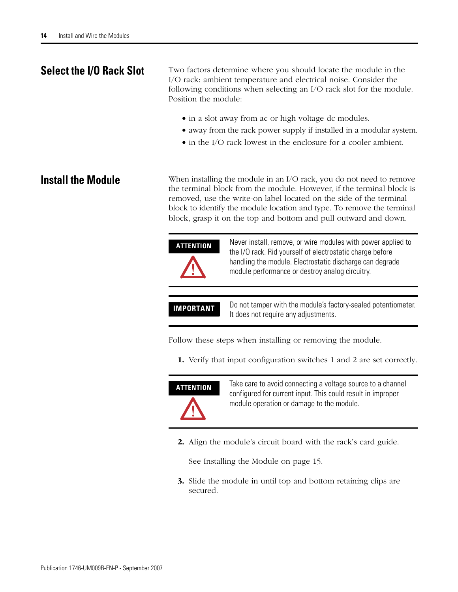<span id="page-13-0"></span>**Select the I/O Rack Slot** Two factors determine where you should locate the module in the I/O rack: ambient temperature and electrical noise. Consider the following conditions when selecting an I/O rack slot for the module. Position the module:

- in a slot away from ac or high voltage dc modules.
- away from the rack power supply if installed in a modular system.
- in the I/O rack lowest in the enclosure for a cooler ambient.

<span id="page-13-1"></span>**Install the Module** When installing the module in an I/O rack, you do not need to remove the terminal block from the module. However, if the terminal block is removed, use the write-on label located on the side of the terminal block to identify the module location and type. To remove the terminal block, grasp it on the top and bottom and pull outward and down.

| <b>ATTENTION</b> | Never install, remove, or wire modules with power applied to<br>the I/O rack. Rid yourself of electrostatic charge before<br>handling the module. Electrostatic discharge can degrade<br>module performance or destroy analog circuitry. |
|------------------|------------------------------------------------------------------------------------------------------------------------------------------------------------------------------------------------------------------------------------------|
| <b>IMPORTANT</b> | Do not tamper with the module's factory-sealed potentiometer.<br>It does not require any adjustments.                                                                                                                                    |

Follow these steps when installing or removing the module.

**1.** Verify that input configuration switches 1 and 2 are set correctly.



**ATTENTION** Take care to avoid connecting a voltage source to a channel configured for current input. This could result in improper module operation or damage to the module.

**2.** Align the module's circuit board with the rack's card guide.

See [Installing the Module](#page-14-0) on [page 15](#page-14-0).

**3.** Slide the module in until top and bottom retaining clips are secured.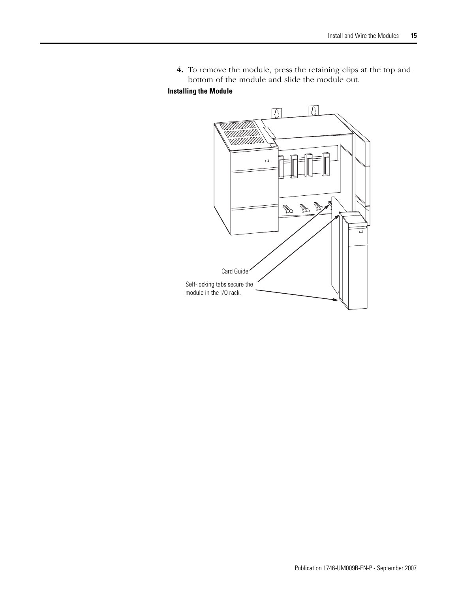**4.** To remove the module, press the retaining clips at the top and bottom of the module and slide the module out.

### <span id="page-14-0"></span>**Installing the Module**

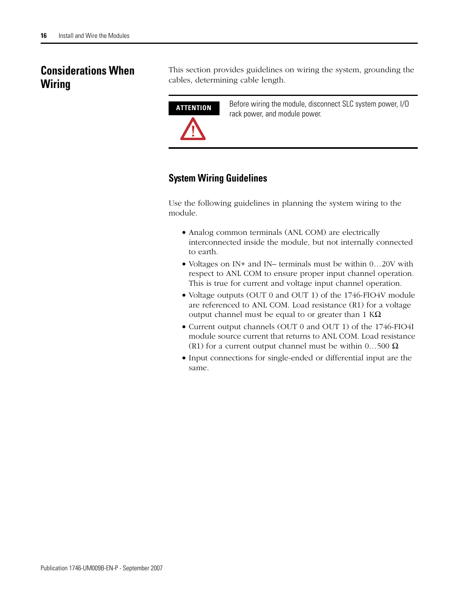## <span id="page-15-0"></span>**Considerations When Wiring**

This section provides guidelines on wiring the system, grounding the cables, determining cable length.



**ATTENTION** Before wiring the module, disconnect SLC system power, I/O rack power, and module power.

## **System Wiring Guidelines**

Use the following guidelines in planning the system wiring to the module.

- Analog common terminals (ANL COM) are electrically interconnected inside the module, but not internally connected to earth.
- Voltages on IN+ and IN– terminals must be within 0...20V with respect to ANL COM to ensure proper input channel operation. This is true for current and voltage input channel operation.
- Voltage outputs (OUT 0 and OUT 1) of the 1746-FIO4V module are referenced to ANL COM. Load resistance (R1) for a voltage output channel must be equal to or greater than 1  $K\Omega$ .
- Current output channels (OUT 0 and OUT 1) of the 1746-FIO4I module source current that returns to ANL COM. Load resistance (R1) for a current output channel must be within  $0...500 \Omega$ .
- Input connections for single-ended or differential input are the same.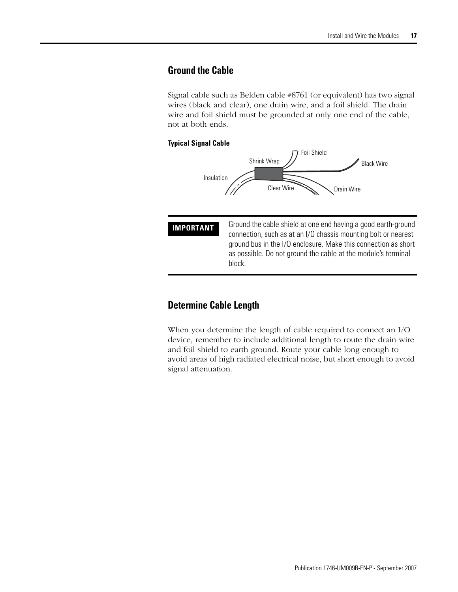## <span id="page-16-0"></span>**Ground the Cable**

Signal cable such as Belden cable #8761 (or equivalent) has two signal wires (black and clear), one drain wire, and a foil shield. The drain wire and foil shield must be grounded at only one end of the cable, not at both ends.

### **Typical Signal Cable**



**IMPORTANT** Ground the cable shield at one end having a good earth-ground connection, such as at an I/O chassis mounting bolt or nearest ground bus in the I/O enclosure. Make this connection as short as possible. Do not ground the cable at the module's terminal block.

## **Determine Cable Length**

When you determine the length of cable required to connect an I/O device, remember to include additional length to route the drain wire and foil shield to earth ground. Route your cable long enough to avoid areas of high radiated electrical noise, but short enough to avoid signal attenuation.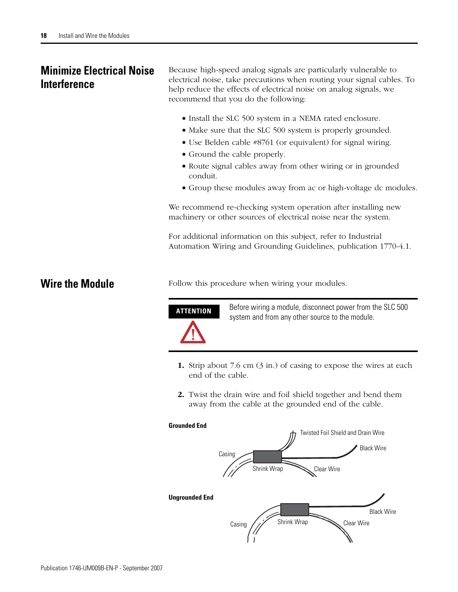## <span id="page-17-0"></span>**Minimize Electrical Noise Interference**

Because high-speed analog signals are particularly vulnerable to electrical noise, take precautions when routing your signal cables. To help reduce the effects of electrical noise on analog signals, we recommend that you do the following:

- Install the SLC 500 system in a NEMA rated enclosure.
- Make sure that the SLC 500 system is properly grounded.
- Use Belden cable #8761 (or equivalent) for signal wiring.
- Ground the cable properly.
- Route signal cables away from other wiring or in grounded conduit.
- Group these modules away from ac or high-voltage dc modules.

We recommend re-checking system operation after installing new machinery or other sources of electrical noise near the system.

For additional information on this subject, refer to Industrial Automation Wiring and Grounding Guidelines, publication 1770-4.1.

<span id="page-17-1"></span>**Wire the Module** Follow this procedure when wiring your modules.



**ATTENTION** Before wiring a module, disconnect power from the SLC 500 system and from any other source to the module.

- **1.** Strip about 7.6 cm (3 in.) of casing to expose the wires at each end of the cable.
- **2.** Twist the drain wire and foil shield together and bend them away from the cable at the grounded end of the cable.

### **Grounded End**

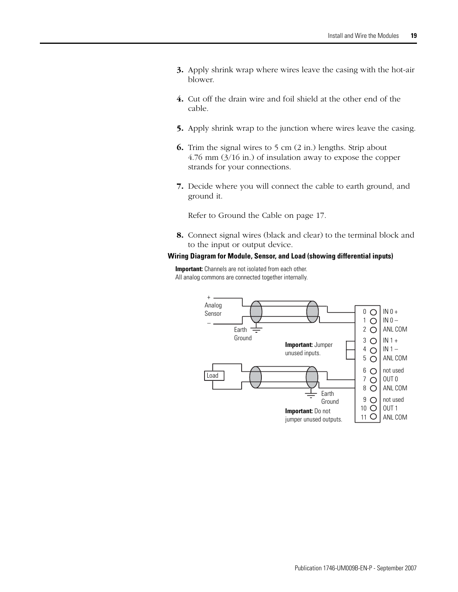- **3.** Apply shrink wrap where wires leave the casing with the hot-air blower.
- **4.** Cut off the drain wire and foil shield at the other end of the cable.
- **5.** Apply shrink wrap to the junction where wires leave the casing.
- **6.** Trim the signal wires to 5 cm (2 in.) lengths. Strip about 4.76 mm (3/16 in.) of insulation away to expose the copper strands for your connections.
- **7.** Decide where you will connect the cable to earth ground, and ground it.

[Refer to Ground the Cable on page 17.](#page-16-0)

**8.** Connect signal wires (black and clear) to the terminal block and to the input or output device.

### **Wiring Diagram for Module, Sensor, and Load (showing differential inputs)**

**Important:** Channels are not isolated from each other. All analog commons are connected together internally.

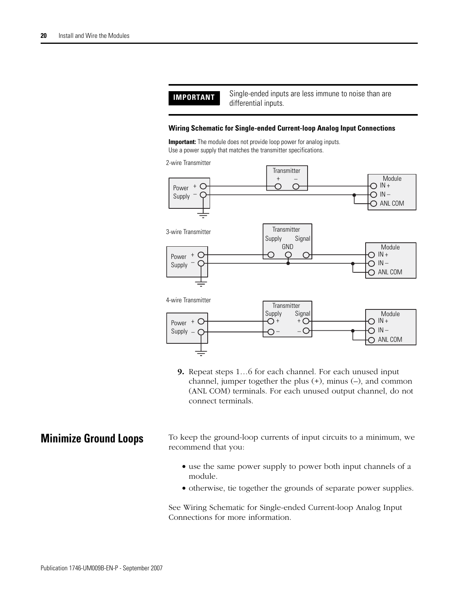**IMPORTANT** Single-ended inputs are less immune to noise than are

differential inputs.

### **Wiring Schematic for Single-ended Current-loop Analog Input Connections**

**Important:** The module does not provide loop power for analog inputs. Use a power supply that matches the transmitter specifications.



**9.** Repeat steps 1…6 for each channel. For each unused input channel, jumper together the plus (+), minus (–), and common (ANL COM) terminals. For each unused output channel, do not connect terminals.

<span id="page-19-0"></span>**Minimize Ground Loops** To keep the ground-loop currents of input circuits to a minimum, we recommend that you:

- use the same power supply to power both input channels of a module.
- otherwise, tie together the grounds of separate power supplies.

See Wiring Schematic for Single-ended Current-loop Analog Input Connections for more information.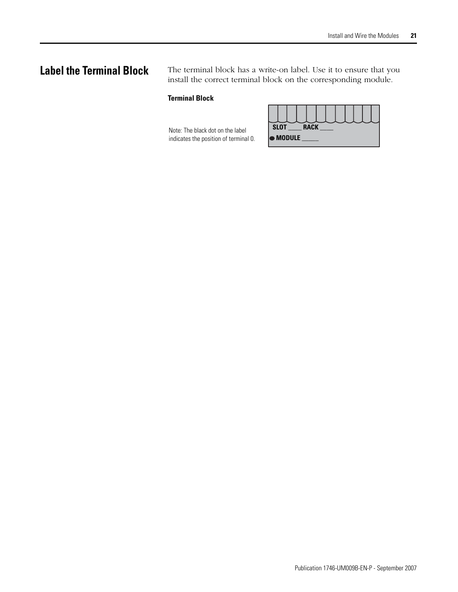<span id="page-20-0"></span>**Label the Terminal Block** The terminal block has a write-on label. Use it to ensure that you install the correct terminal block on the corresponding module.

### **Terminal Block**

Note: The black dot on the label indicates the position of terminal 0.

| <b>SLOT</b> |                  | <b>RACK</b> |  |  |  |  |
|-------------|------------------|-------------|--|--|--|--|
|             | $\bullet$ Module |             |  |  |  |  |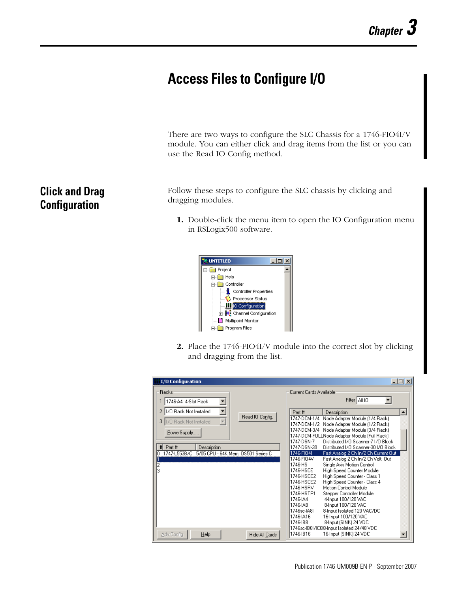# <span id="page-22-1"></span><span id="page-22-0"></span>**Access Files to Configure I/O**

There are two ways to configure the SLC Chassis for a 1746-FIO4I/V module. You can either click and drag items from the list or you can use the Read IO Config method.

Follow these steps to configure the SLC chassis by clicking and dragging modules.

**1.** Double-click the menu item to open the IO Configuration menu in RSLogix500 software.



**2.** Place the 1746-FIO4I/V module into the correct slot by clicking and dragging from the list.

| I/O Configuration                                                         | $ \Box$ $\times$                                                                                         |
|---------------------------------------------------------------------------|----------------------------------------------------------------------------------------------------------|
| Racks                                                                     | Current Cards Available                                                                                  |
| 1746-A4 4-Slot Rack                                                       | Filter   All IO                                                                                          |
| 170 Rack Not Installed<br>2                                               | ᅿ<br>Part #<br>Description                                                                               |
| Read IO Config.<br>3<br>170 Rack Not Installed<br>$\overline{\mathbf{v}}$ | 1747-DCM-1/4<br>Node Adapter Module (1/4 Rack)<br>1747-DCM-1/2                                           |
|                                                                           | Node Adapter Module (1/2 Rack)<br>1747-DCM-3/4 Node Adapter Module (3/4 Rack)                            |
| PowerSupply                                                               | 1747-DCM-FULLNode Adapter Module (Full Rack)                                                             |
| Part #<br>#<br>Description                                                | Distributed I/O Scanner-7 I/O Block<br>1747-DSN-7<br>1747-DSN-30<br>Distributed I/O Scanner-30 I/O Block |
| 1747-L553B/C<br>5/05 CPU - 64K Mem, OS501 Series C<br>ū                   | 1746-FIO4I<br>Fast Analog 2 Ch In/2 Ch Current Out                                                       |
|                                                                           | 1746-FIO4V<br>Fast Analog 2 Ch In/2 Ch Volt. Out                                                         |
| $\frac{2}{3}$                                                             | Single Axis Motion Control<br>l1746-HS                                                                   |
|                                                                           | 1746-HSCE<br>High Speed Counter Module                                                                   |
|                                                                           | 1746-HSCE2<br>High Speed Counter - Class 1                                                               |
|                                                                           | 1746-HSCE2<br>High Speed Counter - Class 4                                                               |
|                                                                           | Motion Control Module<br>1746-HSRV                                                                       |
|                                                                           | 1746-HSTP1<br>Stepper Controller Module                                                                  |
|                                                                           | 1746-1A4<br>4-Input 100/120 VAC                                                                          |
|                                                                           | 1746-IA8<br>8-Input 100/120 VAC                                                                          |
|                                                                           | 1746sc-lA8L<br>8-Input Isolated 120 VAC/DC                                                               |
|                                                                           | 1746-1A16<br>16-Input 100/120 VAC                                                                        |
|                                                                           | 8-Input (SINK) 24 VDC<br>11746-1B8                                                                       |
|                                                                           | 1746sc-IB8I/IC8I8-Input Isolated 24/48 VDC                                                               |
| Help<br>Adv Config<br>Hide All Cards                                      | 1746-1B16<br>16-Input (SINK) 24 VDC                                                                      |

## <span id="page-22-2"></span>**Click and Drag Configuration**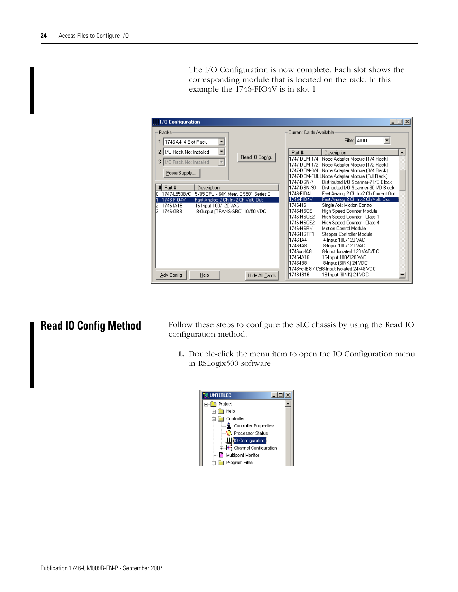The I/O Configuration is now complete. Each slot shows the corresponding module that is located on the rack. In this example the 1746-FIO4V is in slot 1.

| <b>I/O Configuration</b>                                                                   | $ \Box$ $\times$                                                                                          |
|--------------------------------------------------------------------------------------------|-----------------------------------------------------------------------------------------------------------|
| Racks                                                                                      | Current Cards Available                                                                                   |
| 1746-A4 4-Slot Rack                                                                        | Filter All IO                                                                                             |
| 2 1/0 Rack Not Installed<br>▼<br>Read IO Config.                                           | Part #<br>Description<br>ᅬ                                                                                |
| $\overline{\phantom{m}}$<br>3   1/0 Rack Not Installed                                     | 1747-DCM-1/4<br>Node Adapter Module [1/4 Rack]<br>1747-DCM-172<br>Node Adapter Module (1/2 Rack)          |
| PowerSupply                                                                                | 1747-DCM-3/4 Node Adapter Module (3/4 Rack)                                                               |
|                                                                                            | [1747-DCM-FULLNode Adapter Module (Full Rack)]<br>1747-DSN-7<br>Distributed I/O Scanner-7 I/O Block       |
| #<br>Part #<br>Description<br>1747-L553B/C<br>5/05 CPU - 64K Mem. OS501 Series C<br>n.     | 1747-DSN-30<br>Distributed I/O Scanner-30 I/O Block<br>1746-FIO4I<br>Fast Analog 2 Ch In/2 Ch Current Out |
| 1746-FIO4V<br>Fast Analog 2 Ch In/2 Ch Volt. Out                                           | 1746-FIO4V<br>Fast Analog 2 Ch In/2 Ch Volt. Out                                                          |
| 2<br>1746-IA16<br>16-Input 100/120 VAC<br>8-Output (TRANS-SRC) 10/50 VDC<br>3.<br>1746-0B8 | l1746-HS<br>Single Axis Motion Control<br>1746-HSCE<br>High Speed Counter Module                          |
|                                                                                            | 1746-HSCE2<br>High Speed Counter - Class 1<br>1746-HSCE2<br>High Speed Counter - Class 4                  |
|                                                                                            | 1746-HSRV<br>Motion Control Module                                                                        |
|                                                                                            | 1746-HSTP1<br>Stepper Controller Module<br>4-Input 100/120 VAC<br>1746-1A4                                |
|                                                                                            | 1746-1A8<br>8-Input 100/120 VAC                                                                           |
|                                                                                            | 1746sc-lA8L<br>8-Input Isolated 120 VAC/DC<br>16-Input 100/120 VAC<br>1746-1A16                           |
|                                                                                            | 1746-188<br>8-Input (SINK) 24 VDC<br>1746sc-IB8I/IC8I8-Input Isolated 24/48 VDC                           |
| Adv Config<br>Help<br>Hide All Cards                                                       | 1746-1816<br>16-Input (SINK) 24 VDC                                                                       |

<span id="page-23-0"></span>**Read IO Config Method** Follow these steps to configure the SLC chassis by using the Read IO configuration method.

> **1.** Double-click the menu item to open the IO Configuration menu in RSLogix500 software.

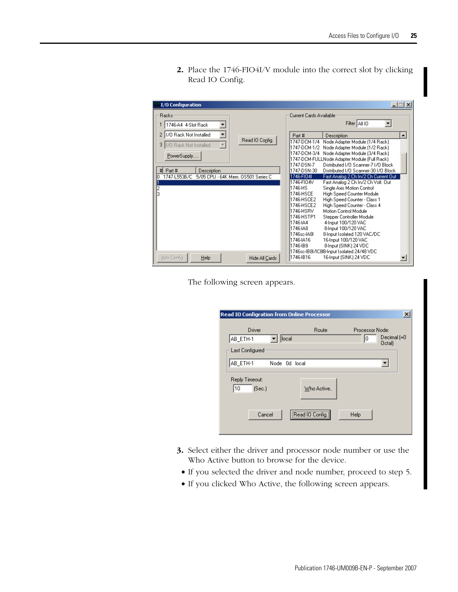**2.** Place the 1746-FIO4I/V module into the correct slot by clicking Read IO Config.

| <b><i>iii</i></b> I/O Configuration                                                                                                           | $ \Box$ $\times$                                                                                                                                                                                   |
|-----------------------------------------------------------------------------------------------------------------------------------------------|----------------------------------------------------------------------------------------------------------------------------------------------------------------------------------------------------|
| Racks<br>1746-A4 4-Slot Rack<br>▼                                                                                                             | Current Cards Available<br>Filter   All IO                                                                                                                                                         |
| 1/0 Rack Not Installed<br>$\overline{\phantom{a}}$<br>$\overline{2}$<br>Read IO Config.<br>170 Rack Not Installed<br>$\overline{\nabla}$<br>3 | $\blacktriangle$<br>Part #<br>Description<br>1747-DCM-1/4<br>Node Adapter Module (1/4 Rack)                                                                                                        |
| PowerSupply                                                                                                                                   | 1747-DCM-1/2<br>Node Adapter Module (1/2 Rack)<br>1747-DCM-3/4 Node Adapter Module (3/4 Rack)<br>1747-DCM-FULLNode Adapter Module (Full Rack)<br>1747-DSN-7<br>Distributed I/O Scanner-7 I/O Block |
| $\sharp$<br>Part #<br>Description<br>1747-L553B/C<br>5/05 CPU - 64K Mem, OS501 Series C<br>In<br>n                                            | 1747-DSN-30<br>Distributed I/O Scanner-30 I/O Block<br>1746-FIO4I<br>Fast Analog 2 Ch In/2 Ch Current Out<br>1746-FIO4V<br>Fast Analog 2 Ch In/2 Ch Volt. Out                                      |
| 2<br>3                                                                                                                                        | 1746-HS<br>Single Axis Motion Control<br>High Speed Counter Module<br>1746-HSCE<br>1746-HSCE2<br>High Speed Counter - Class 1                                                                      |
|                                                                                                                                               | High Speed Counter - Class 4<br>1746-HSCE2<br>Motion Control Module<br>1746-HSRV<br>1746-HSTP1<br>Stepper Controller Module                                                                        |
|                                                                                                                                               | 4-Input 100/120 VAC<br>1746-JA4<br>1746-JA8<br>8-Input 100/120 VAC<br>8-Input Isolated 120 VAC/DC<br>1746sc-IA8I                                                                                   |
|                                                                                                                                               | 1746-IA16<br>16-Input 100/120 VAC<br>1746-IB8<br>8-Input (SINK) 24 VDC                                                                                                                             |
| $He$ lp<br>Adv Config<br>Hide All Cards                                                                                                       | 1746sc-IB8I/IC8I8-Input Isolated 24/48 VDC<br>1746-1816<br>16-Input (SINK) 24 VDC                                                                                                                  |

The following screen appears.

| <b>Read IO Configration from Online Processor</b> |                 |                       | $\vert x \vert$ |
|---------------------------------------------------|-----------------|-----------------------|-----------------|
| Driver<br>local<br>AB_ETH-1                       | Route           | Processor Node:<br>10 | Decimal (=0     |
| Last Configured                                   |                 | Octal)                |                 |
| AB_ETH-1<br>Node 0d local<br>Reply Timeout:       |                 |                       |                 |
| (Sec.)<br>10                                      | Who Active      |                       |                 |
| Cancel                                            | Read IO Config. | Help                  |                 |
|                                                   |                 |                       |                 |

- **3.** Select either the driver and processor node number or use the Who Active button to browse for the device.
- If you selected the driver and node number, proceed to step 5.
- If you clicked Who Active, the following screen appears.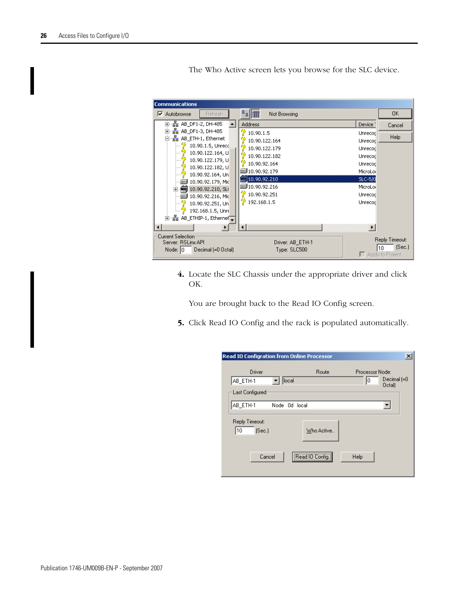The Who Active screen lets you browse for the SLC device.



**4.** Locate the SLC Chassis under the appropriate driver and click OK.

You are brought back to the Read IO Config screen.

**5.** Click Read IO Config and the rack is populated automatically.

| $\vert x \vert$<br><b>Read IO Configration from Online Processor</b> |                 |                                                       |  |
|----------------------------------------------------------------------|-----------------|-------------------------------------------------------|--|
| Driver<br>local<br>AB_ETH-1<br>Last Configured                       | Route           | Processor Node:<br>Decimal (=0<br>10<br><b>Octall</b> |  |
| AB_ETH-1<br>Node 0d local                                            |                 | ▼                                                     |  |
| Reply Timeout:<br>10<br>(Sec.)                                       | Who Active      |                                                       |  |
| Cancel                                                               | Read IO Config. | Help                                                  |  |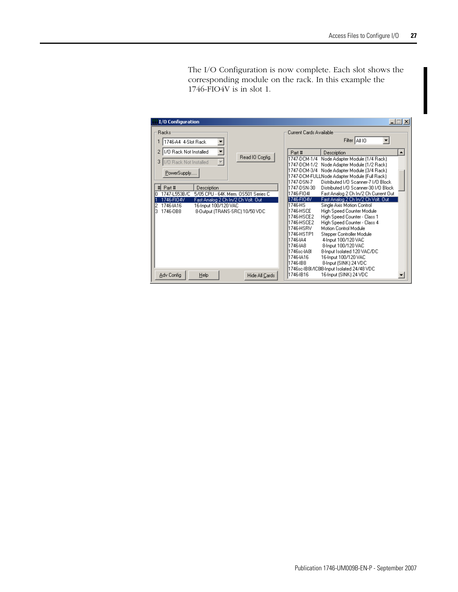The I/O Configuration is now complete. Each slot shows the corresponding module on the rack. In this example the 1746-FIO4V is in slot 1.

| <b>I/O Configuration</b>                                                                                                                 | $ \Box$ $\times$                                                                                                                                               |
|------------------------------------------------------------------------------------------------------------------------------------------|----------------------------------------------------------------------------------------------------------------------------------------------------------------|
| Racks<br>1746-A4 4-Slot Rack<br>▼                                                                                                        | Current Cards Available<br>Filter   All IO                                                                                                                     |
| ▼<br>1/0 Rack Not Installed<br>2<br>Read IO Config.                                                                                      | ᅬ<br>Part #<br>Description<br>1747-DCM-1/4<br>Node Adapter Module [1/4 Rack]                                                                                   |
| $\overline{\phantom{a}}$<br>3<br>170 Rack Not Installed<br>PowerSupply                                                                   | 1747-DCM-1/2<br>Node Adapter Module (1/2 Rack)<br>1747-DCM-3/4<br>Node Adapter Module (3/4 Rack)<br>1747-DCM-FULLNode Adapter Module (Full Rack)               |
| #<br>Part #<br>Description<br>1747-L553B/C<br>5/05 CPU - 64K Mem. OS501 Series C                                                         | 1747-DSN-7<br>Distributed I/O Scanner-7 I/O Block<br>1747-DSN-30<br>Distributed I/O Scanner-30 I/O Block<br>1746-FIO4I<br>Fast Analog 2 Ch In/2 Ch Current Out |
| 1746-FIO4V<br>Fast Analog 2 Ch In/2 Ch Volt. Out<br>1746-IA16<br>16-Input 100/120 VAC<br>8-Output (TRANS-SRC) 10/50 VDC<br>3<br>1746-0B8 | Fast Analog 2 Ch In/2 Ch Volt. Out<br>1746-FI04V<br>1746-HS<br>Single Axis Motion Control<br>1746-HSCE<br>High Speed Counter Module                            |
|                                                                                                                                          | 1746-HSCE2<br>High Speed Counter - Class 1<br>High Speed Counter - Class 4<br>1746-HSCE2<br>Motion Control Module<br>1746-HSRV                                 |
|                                                                                                                                          | 1746-HSTP1<br>Stepper Controller Module<br>1746-1A4<br>4-Input 100/120 VAC                                                                                     |
|                                                                                                                                          | 8-Input 100/120 VAC<br>1746-1A8<br>1746sc-IA8L<br>8-Input Isolated 120 VAC/DC<br>16-Input 100/120 VAC<br>1746-IA16                                             |
|                                                                                                                                          | 1746-IB8<br>8-Input (SINK) 24 VDC<br>1746sc-IB8I/IC8I8-Input Isolated 24/48 VDC                                                                                |
| Adv Config<br>Help<br>Hide All Cards                                                                                                     | 1746-IB16<br>16-Input (SINK) 24 VDC                                                                                                                            |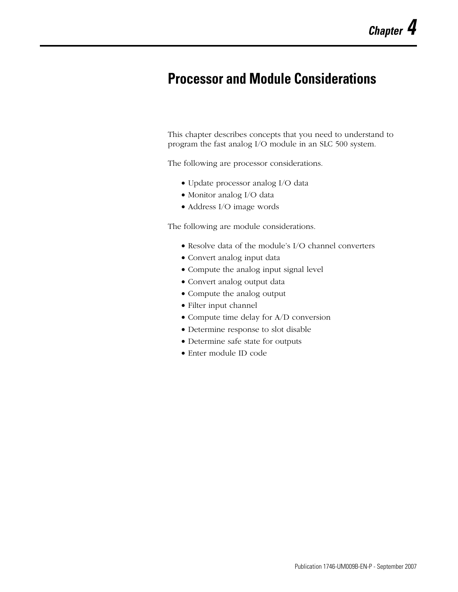# <span id="page-28-2"></span><span id="page-28-1"></span><span id="page-28-0"></span>**Processor and Module Considerations**

This chapter describes concepts that you need to understand to program the fast analog I/O module in an SLC 500 system.

The following are processor considerations.

- Update processor analog I/O data
- Monitor analog I/O data
- Address I/O image words

The following are module considerations.

- Resolve data of the module's I/O channel converters
- Convert analog input data
- Compute the analog input signal level
- Convert analog output data
- Compute the analog output
- Filter input channel
- Compute time delay for A/D conversion
- Determine response to slot disable
- Determine safe state for outputs
- Enter module ID code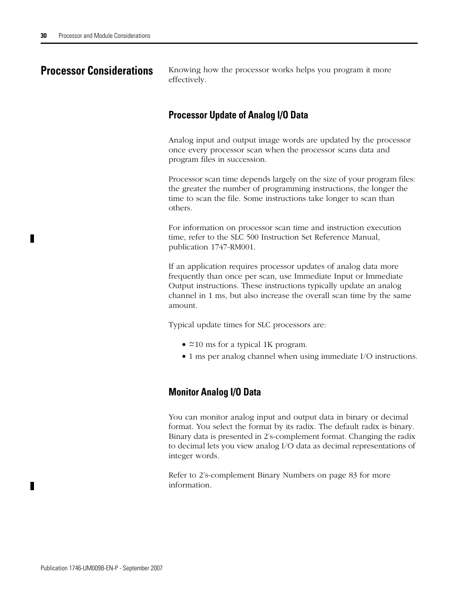<span id="page-29-0"></span>**Processor Considerations** Knowing how the processor works helps you program it more effectively.

## **Processor Update of Analog I/O Data**

Analog input and output image words are updated by the processor once every processor scan when the processor scans data and program files in succession.

Processor scan time depends largely on the size of your program files: the greater the number of programming instructions, the longer the time to scan the file. Some instructions take longer to scan than others.

For information on processor scan time and instruction execution time, refer to the SLC 500 Instruction Set Reference Manual, publication 1747-RM001.

If an application requires processor updates of analog data more frequently than once per scan, use Immediate Input or Immediate Output instructions. These instructions typically update an analog channel in 1 ms, but also increase the overall scan time by the same amount.

Typical update times for SLC processors are:

- $\approx$  10 ms for a typical 1K program.
- 1 ms per analog channel when using immediate I/O instructions.

## **Monitor Analog I/O Data**

You can monitor analog input and output data in binary or decimal format. You select the format by its radix. The default radix is binary. Binary data is presented in 2's-complement format. Changing the radix to decimal lets you view analog I/O data as decimal representations of integer words.

[Refer to 2's-complement Binary Numbers on page 83](#page-82-3) for more information.

П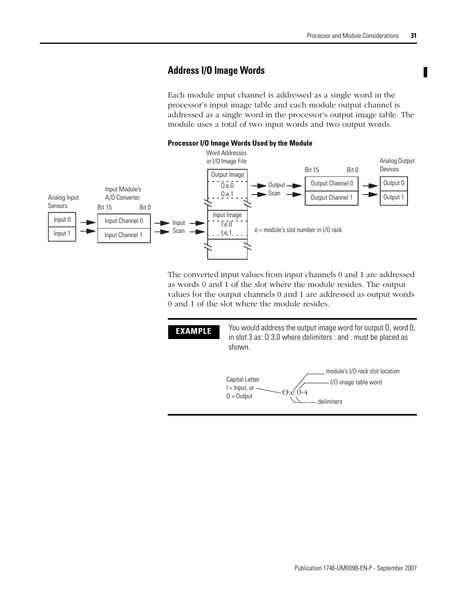## **Address I/O Image Words**

Each module input channel is addressed as a single word in the processor's input image table and each module output channel is addressed as a single word in the processor's output image table. The module uses a total of two input words and two output words.



The converted input values from input channels 0 and 1 are addressed as words 0 and 1 of the slot where the module resides. The output values for the output channels 0 and 1 are addressed as output words 0 and 1 of the slot where the module resides.

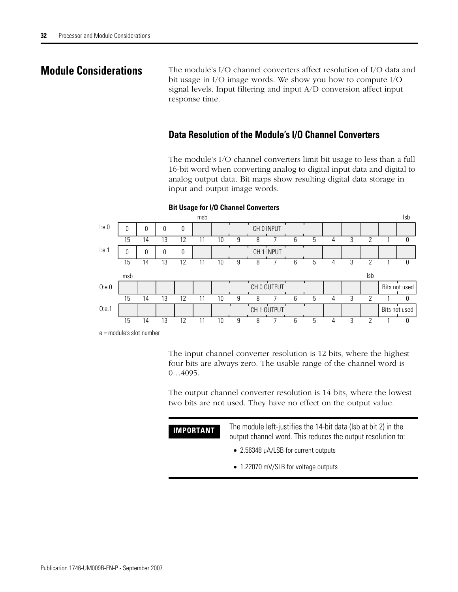<span id="page-31-0"></span>**Module Considerations** The module's I/O channel converters affect resolution of I/O data and bit usage in I/O image words. We show you how to compute I/O signal levels. Input filtering and input A/D conversion affect input response time.

## **Data Resolution of the Module's I/O Channel Converters**

The module's I/O channel converters limit bit usage to less than a full 16-bit word when converting analog to digital input data and digital to analog output data. Bit maps show resulting digital data storage in input and output image words.



### **Bit Usage for I/O Channel Converters**

e = module's slot number

The input channel converter resolution is 12 bits, where the highest four bits are always zero. The usable range of the channel word is 0…4095.

The output channel converter resolution is 14 bits, where the lowest two bits are not used. They have no effect on the output value.

| IMPORTANT | The module left-justifies the 14-bit data (Isb at bit 2) in the |  |  |
|-----------|-----------------------------------------------------------------|--|--|
|           | output channel word. This reduces the output resolution to:     |  |  |

- 2.56348 µA/LSB for current outputs
- 1.22070 mV/SLB for voltage outputs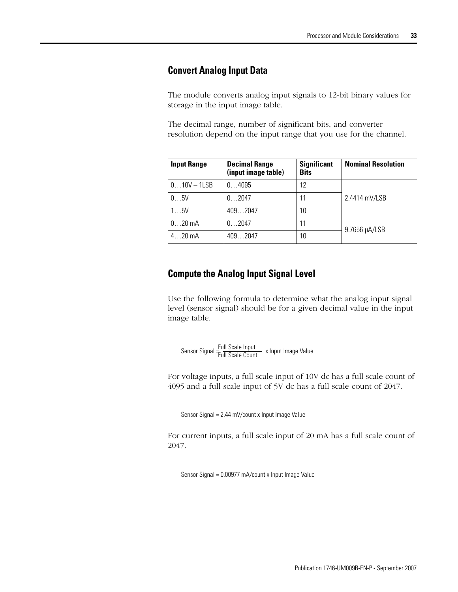## **Convert Analog Input Data**

The module converts analog input signals to 12-bit binary values for storage in the input image table.

The decimal range, number of significant bits, and converter resolution depend on the input range that you use for the channel.

| <b>Input Range</b> | <b>Decimal Range</b><br>(input image table) | <b>Significant</b><br><b>Bits</b> | <b>Nominal Resolution</b> |
|--------------------|---------------------------------------------|-----------------------------------|---------------------------|
| $010V - 1LSB$      | 04095                                       | 12                                |                           |
| 05V                | 02047                                       | 11                                | 2.4414 mV/LSB             |
| 15V                | 4092047                                     | 10                                |                           |
| $020$ mA           | 02047                                       | 11                                | 9.7656 µA/LSB             |
| $420$ mA           | 409 .2047                                   | 10                                |                           |

## **Compute the Analog Input Signal Level**

Use the following formula to determine what the analog input signal level (sensor signal) should be for a given decimal value in the input image table.

Sensor Signal <del>- Full Scale Input</del><br>Sensor Signal <del>- Full Scale Count -</del> x Input Image Value

For voltage inputs, a full scale input of 10V dc has a full scale count of 4095 and a full scale input of 5V dc has a full scale count of 2047.

Sensor Signal = 2.44 mV/count x Input Image Value

For current inputs, a full scale input of 20 mA has a full scale count of 2047.

Sensor Signal = 0.00977 mA/count x Input Image Value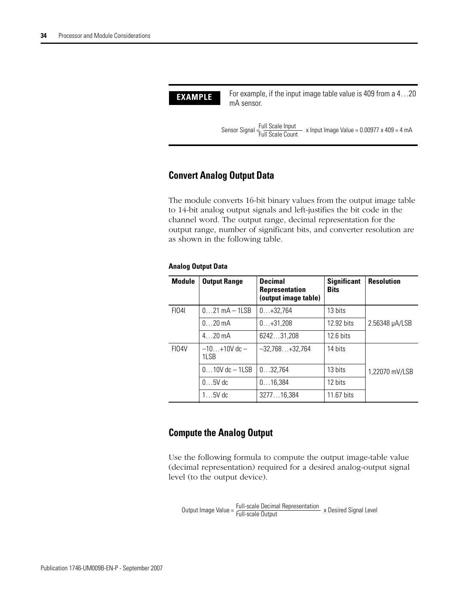

## **Convert Analog Output Data**

The module converts 16-bit binary values from the output image table to 14-bit analog output signals and left-justifies the bit code in the channel word. The output range, decimal representation for the output range, number of significant bits, and converter resolution are as shown in the following table.

### **Analog Output Data**

| <b>Module</b> | <b>Output Range</b>         | <b>Decimal</b><br><b>Representation</b><br>(output image table) | <b>Significant</b><br><b>Bits</b> | <b>Resolution</b> |
|---------------|-----------------------------|-----------------------------------------------------------------|-----------------------------------|-------------------|
| FI041         | $021$ mA $-$ 1LSB           | $0+32,764$                                                      | 13 bits                           |                   |
|               | $0$ 20 mA                   | $0+31.208$                                                      | 12.92 bits                        | 2.56348 µA/LSB    |
|               | $420 \text{ mA}$            | 624231,208                                                      | $12.6 \text{ bits}$               |                   |
| FI04V         | $-10+10V$ dc $-$<br>$11$ SB | $-32,768+32,764$                                                | 14 bits                           |                   |
|               | $010V$ dc $-1LSB$           | 032.764                                                         | 13 bits                           | 1,22070 mV/LSB    |
|               | $05V$ dc                    | 016,384                                                         | 12 bits                           |                   |
|               | $15V$ dc                    | 327716,384                                                      | 11.67 bits                        |                   |

### **Compute the Analog Output**

Use the following formula to compute the output image-table value (decimal representation) required for a desired analog-output signal level (to the output device).

Output Image Value = Full-scale Decimal Representation<br>Output Image Value = Full-scale Output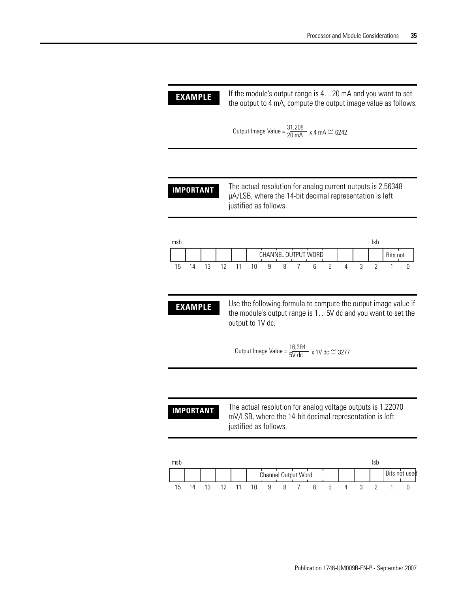**EXAMPLE** If the module's output range is 4...20 mA and you want to set the output to 4 mA, compute the output image value as follows.

Output Image Value =  $\frac{31,208}{20 \text{ mA}}$  x 4 mA  $\simeq$  6242

**IMPORTANT** The actual resolution for analog current outputs is 2.56348 µA/LSB, where the 14-bit decimal representation is left justified as follows.



**EXAMPLE** Use the following formula to compute the output image value if the module's output range is 1…5V dc and you want to set the output to 1V dc.

Output Image Value =  $\frac{16,384}{5V \text{ dc}}$  x 1V dc  $\simeq$  3277

**IMPORTANT** The actual resolution for analog voltage outputs is 1.22070 mV/LSB, where the 14-bit decimal representation is left justified as follows.

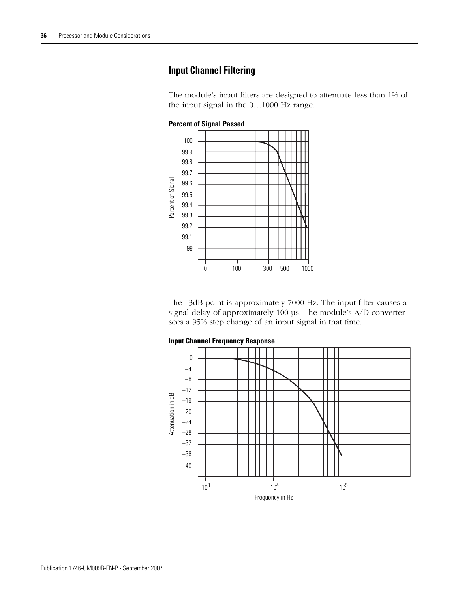## **Input Channel Filtering**

The module's input filters are designed to attenuate less than 1% of the input signal in the 0…1000 Hz range.



The –3dB point is approximately 7000 Hz. The input filter causes a signal delay of approximately 100 µs. The module's A/D converter sees a 95% step change of an input signal in that time.



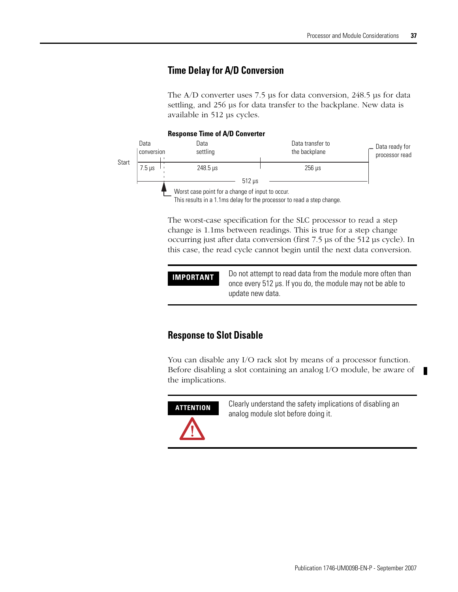# **Time Delay for A/D Conversion**

The A/D converter uses 7.5 µs for data conversion, 248.5 µs for data settling, and 256 µs for data transfer to the backplane. New data is available in 512 µs cycles.

#### **Response Time of A/D Converter**



The worst-case specification for the SLC processor to read a step change is 1.1ms between readings. This is true for a step change occurring just after data conversion (first 7.5 µs of the 512 µs cycle). In this case, the read cycle cannot begin until the next data conversion.

### **IMPORTANT** Do not attempt to read data from the module more often than once every 512 µs. If you do, the module may not be able to update new data.

# **Response to Slot Disable**

You can disable any I/O rack slot by means of a processor function. Before disabling a slot containing an analog I/O module, be aware of the implications.



**ATTENTION** Clearly understand the safety implications of disabling an analog module slot before doing it.

п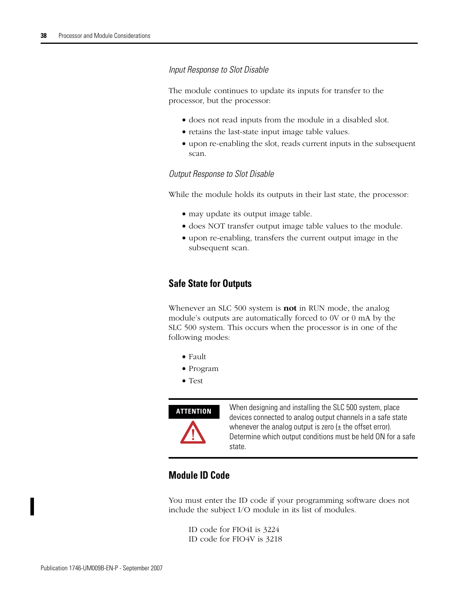### *Input Response to Slot Disable*

The module continues to update its inputs for transfer to the processor, but the processor:

- does not read inputs from the module in a disabled slot.
- retains the last-state input image table values.
- upon re-enabling the slot, reads current inputs in the subsequent scan.

### *Output Response to Slot Disable*

While the module holds its outputs in their last state, the processor:

- may update its output image table.
- does NOT transfer output image table values to the module.
- upon re-enabling, transfers the current output image in the subsequent scan.

### **Safe State for Outputs**

Whenever an SLC 500 system is **not** in RUN mode, the analog module's outputs are automatically forced to 0V or 0 mA by the SLC 500 system. This occurs when the processor is in one of the following modes:

- Fault
- Program
- Test



**ATTENTION** When designing and installing the SLC 500 system, place devices connected to analog output channels in a safe state whenever the analog output is zero  $(\pm$  the offset error). Determine which output conditions must be held ON for a safe state.

# **Module ID Code**

You must enter the ID code if your programming software does not include the subject I/O module in its list of modules.

ID code for FIO4I is 3224 ID code for FIO4V is 3218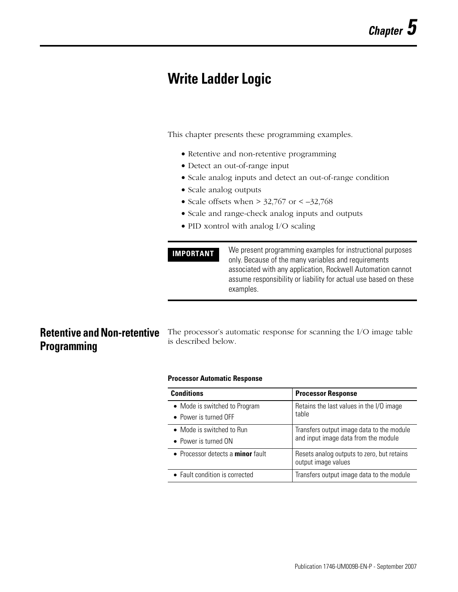# **Write Ladder Logic**

This chapter presents these programming examples.

- Retentive and non-retentive programming
- Detect an out-of-range input
- Scale analog inputs and detect an out-of-range condition
- Scale analog outputs
- Scale offsets when  $> 32,767$  or  $< -32,768$
- Scale and range-check analog inputs and outputs
- PID xontrol with analog I/O scaling

```
IMPORTANT We present programming examples for instructional purposes
                  only. Because of the many variables and requirements 
                  associated with any application, Rockwell Automation cannot 
                  assume responsibility or liability for actual use based on these 
                  examples.
```
# **Retentive and Non-retentive Programming**

The processor's automatic response for scanning the I/O image table is described below.

### **Processor Automatic Response**

| <b>Conditions</b>                                              | <b>Processor Response</b>                                                         |
|----------------------------------------------------------------|-----------------------------------------------------------------------------------|
| • Mode is switched to Program<br>$\bullet$ Power is turned OFF | Retains the last values in the I/O image<br>table                                 |
| • Mode is switched to Run<br>• Power is turned ON              | Transfers output image data to the module<br>and input image data from the module |
| • Processor detects a <b>minor</b> fault                       | Resets analog outputs to zero, but retains<br>output image values                 |
| • Fault condition is corrected                                 | Transfers output image data to the module                                         |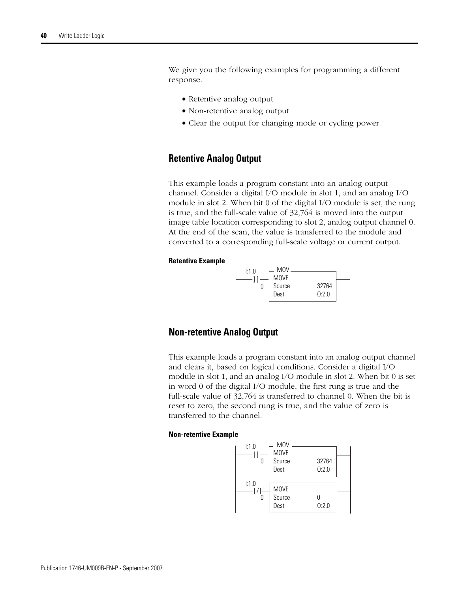We give you the following examples for programming a different response.

- Retentive analog output
- Non-retentive analog output
- Clear the output for changing mode or cycling power

### **Retentive Analog Output**

This example loads a program constant into an analog output channel. Consider a digital I/O module in slot 1, and an analog I/O module in slot 2. When bit 0 of the digital I/O module is set, the rung is true, and the full-scale value of 32,764 is moved into the output image table location corresponding to slot 2, analog output channel 0. At the end of the scan, the value is transferred to the module and converted to a corresponding full-scale voltage or current output.

#### **Retentive Example**



### **Non-retentive Analog Output**

This example loads a program constant into an analog output channel and clears it, based on logical conditions. Consider a digital I/O module in slot 1, and an analog I/O module in slot 2. When bit 0 is set in word 0 of the digital I/O module, the first rung is true and the full-scale value of 32,764 is transferred to channel 0. When the bit is reset to zero, the second rung is true, and the value of zero is transferred to the channel.

#### **Non-retentive Example**

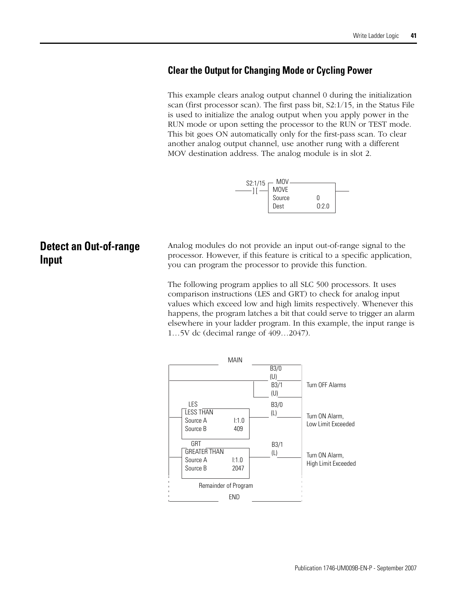### **Clear the Output for Changing Mode or Cycling Power**

This example clears analog output channel 0 during the initialization scan (first processor scan). The first pass bit, S2:1/15, in the Status File is used to initialize the analog output when you apply power in the RUN mode or upon setting the processor to the RUN or TEST mode. This bit goes ON automatically only for the first-pass scan. To clear another analog output channel, use another rung with a different MOV destination address. The analog module is in slot 2.



# **Detect an Out-of-range Input**

Analog modules do not provide an input out-of-range signal to the processor. However, if this feature is critical to a specific application, you can program the processor to provide this function.

The following program applies to all SLC 500 processors. It uses comparison instructions (LES and GRT) to check for analog input values which exceed low and high limits respectively. Whenever this happens, the program latches a bit that could serve to trigger an alarm elsewhere in your ladder program. In this example, the input range is 1…5V dc (decimal range of 409…2047).

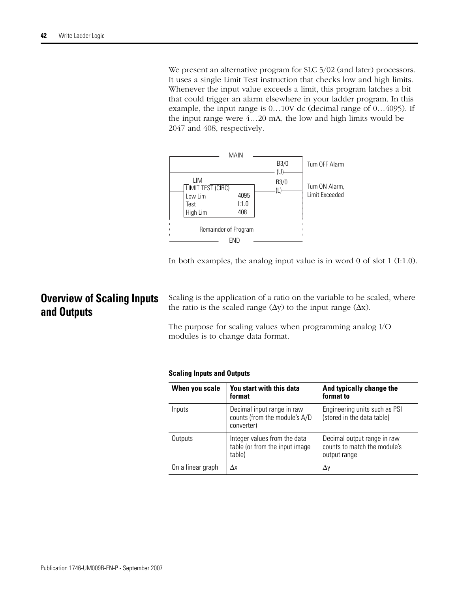We present an alternative program for SLC 5/02 (and later) processors. It uses a single Limit Test instruction that checks low and high limits. Whenever the input value exceeds a limit, this program latches a bit that could trigger an alarm elsewhere in your ladder program. In this example, the input range is 0…10V dc (decimal range of 0…4095). If the input range were 4…20 mA, the low and high limits would be 2047 and 408, respectively.



In both examples, the analog input value is in word 0 of slot 1 (I:1.0).

# **Overview of Scaling Inputs and Outputs**

Scaling is the application of a ratio on the variable to be scaled, where the ratio is the scaled range  $(\Delta y)$  to the input range  $(\Delta x)$ .

The purpose for scaling values when programming analog I/O modules is to change data format.

#### **Scaling Inputs and Outputs**

| When you scale    | You start with this data<br>format                                        | And typically change the<br>format to                                       |
|-------------------|---------------------------------------------------------------------------|-----------------------------------------------------------------------------|
| Inputs            | Decimal input range in raw<br>counts (from the module's A/D<br>converter) | Engineering units such as PSI<br>(stored in the data table)                 |
| Outputs           | Integer values from the data<br>table (or from the input image<br>table)  | Decimal output range in raw<br>counts to match the module's<br>output range |
| On a linear graph | Δx                                                                        | Δy                                                                          |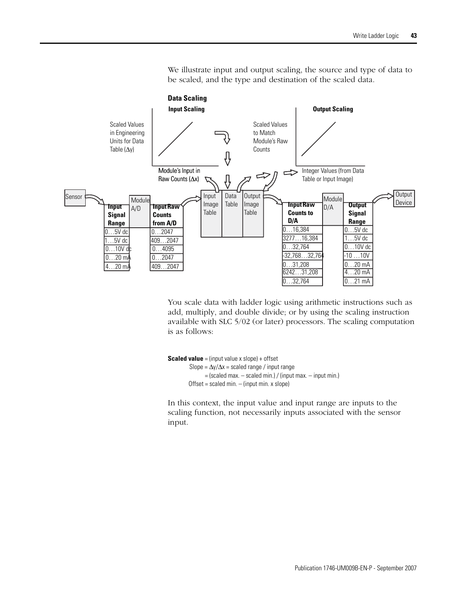

We illustrate input and output scaling, the source and type of data to be scaled, and the type and destination of the scaled data.

You scale data with ladder logic using arithmetic instructions such as add, multiply, and double divide; or by using the scaling instruction available with SLC 5/02 (or later) processors. The scaling computation is as follows:

```
Scaled value = (input value x slope) + offset
         Slope = \Delta y/\Delta x = scaled range / input range
                = (scaled max. – scaled min.) / (input max. – input min.)
        Offset = scaled min. - (input min. x slope)
```
In this context, the input value and input range are inputs to the scaling function, not necessarily inputs associated with the sensor input.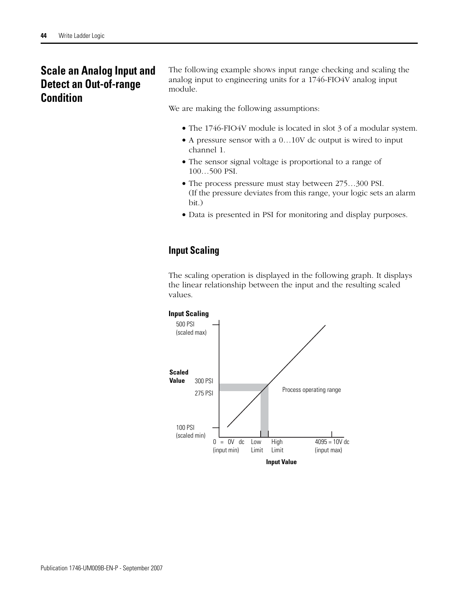# **Scale an Analog Input and Detect an Out-of-range Condition**

The following example shows input range checking and scaling the analog input to engineering units for a 1746-FIO4V analog input module.

We are making the following assumptions:

- The 1746-FIO4V module is located in slot 3 of a modular system.
- A pressure sensor with a 0…10V dc output is wired to input channel 1.
- The sensor signal voltage is proportional to a range of 100…500 PSI.
- The process pressure must stay between 275…300 PSI. (If the pressure deviates from this range, your logic sets an alarm bit.)
- Data is presented in PSI for monitoring and display purposes.

# **Input Scaling**

The scaling operation is displayed in the following graph. It displays the linear relationship between the input and the resulting scaled values.

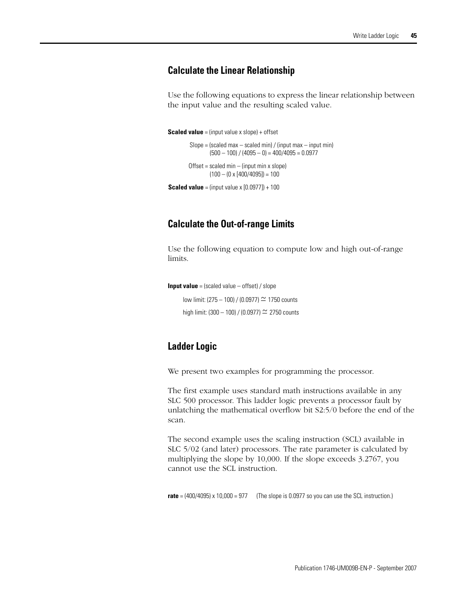### **Calculate the Linear Relationship**

Use the following equations to express the linear relationship between the input value and the resulting scaled value.

```
Scaled value = (input value x slope) + offset
```

```
Slope = (scaled max - scaled min) / (input max - input min)
Offset = scaled min - (input min x slope)(500 - 100) / (4095 - 0) = 400/4095 = 0.0977(100 - (0 \times [400/4095]) = 100
```
**Scaled value** = (input value x  $[0.0977]$ ) + 100

### **Calculate the Out-of-range Limits**

Use the following equation to compute low and high out-of-range limits.

**Input value** = (scaled value – offset) / slope

low limit: (275 – 100) / (0.0977)  $\simeq$  1750 counts high limit:  $(300 - 100) / (0.0977) \approx 2750$  counts

# **Ladder Logic**

We present two examples for programming the processor.

The first example uses standard math instructions available in any SLC 500 processor. This ladder logic prevents a processor fault by unlatching the mathematical overflow bit S2:5/0 before the end of the scan.

The second example uses the scaling instruction (SCL) available in SLC 5/02 (and later) processors. The rate parameter is calculated by multiplying the slope by 10,000. If the slope exceeds 3.2767, you cannot use the SCL instruction.

**rate** = (400/4095) x 10,000 = 977 (The slope is 0.0977 so you can use the SCL instruction.)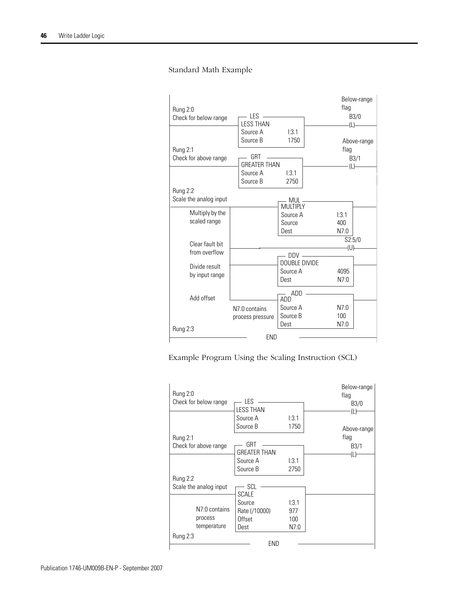### Standard Math Example



Example Program Using the Scaling Instruction (SCL)

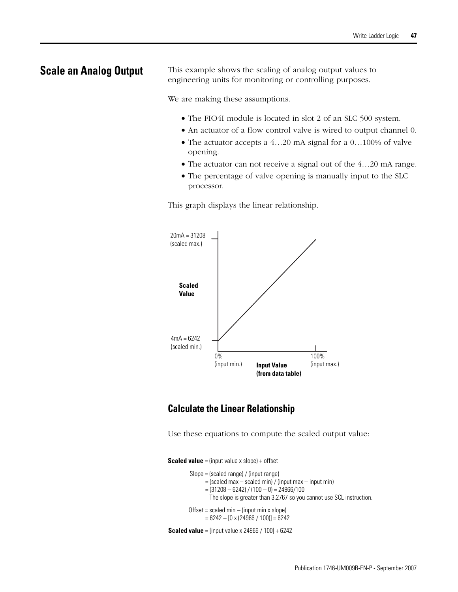**Scale an Analog Output** This example shows the scaling of analog output values to engineering units for monitoring or controlling purposes.

We are making these assumptions.

- The FIO4I module is located in slot 2 of an SLC 500 system.
- An actuator of a flow control valve is wired to output channel 0.
- The actuator accepts a 4...20 mA signal for a 0...100% of valve opening.
- The actuator can not receive a signal out of the 4…20 mA range.
- The percentage of valve opening is manually input to the SLC processor.

This graph displays the linear relationship.



# **Calculate the Linear Relationship**

Use these equations to compute the scaled output value:

**Scaled value** = (input value x slope) + offset

```
Slope = (scaled range) / (input range)
Offset = scaled min - (input min x slope)= (scaled max – scaled min) / (input max – input min)
      = 6242 - [0 \times (24966 / 100)] = 6242= (31208 - 6242) / (100 - 0) = 24966 / 100The slope is greater than 3.2767 so you cannot use SCL instruction.
```
**Scaled value** = [input value x 24966 / 100] + 6242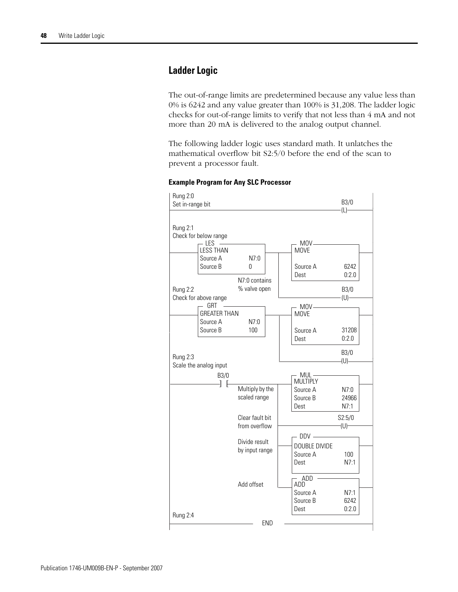# **Ladder Logic**

The out-of-range limits are predetermined because any value less than 0% is 6242 and any value greater than 100% is 31,208. The ladder logic checks for out-of-range limits to verify that not less than 4 mA and not more than 20 mA is delivered to the analog output channel.

The following ladder logic uses standard math. It unlatches the mathematical overflow bit S2:5/0 before the end of the scan to prevent a processor fault.



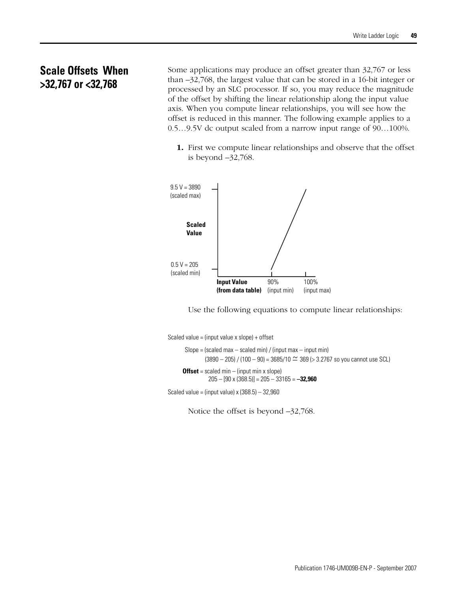# **Scale Offsets When >32,767 or <32,768**

Some applications may produce an offset greater than 32,767 or less than –32,768, the largest value that can be stored in a 16-bit integer or processed by an SLC processor. If so, you may reduce the magnitude of the offset by shifting the linear relationship along the input value axis. When you compute linear relationships, you will see how the offset is reduced in this manner. The following example applies to a 0.5…9.5V dc output scaled from a narrow input range of 90…100%.

**1.** First we compute linear relationships and observe that the offset is beyond –32,768.



Use the following equations to compute linear relationships:

Scaled value = (input value x slope) + offset

```
Slope = (scaled max - scaled min) / (input max - input min)
      Offset = scaled min – (input min x slope)
               (3890 - 205) / (100 - 90) = 3685/10 \simeq 369 (> 3.2767 so you cannot use SCL)
                205 – [90 x (368.5)] = 205 – 33165 = –32,960
Scaled value = (input value) x(368.5) - 32,960
```
Notice the offset is beyond  $-32,768$ .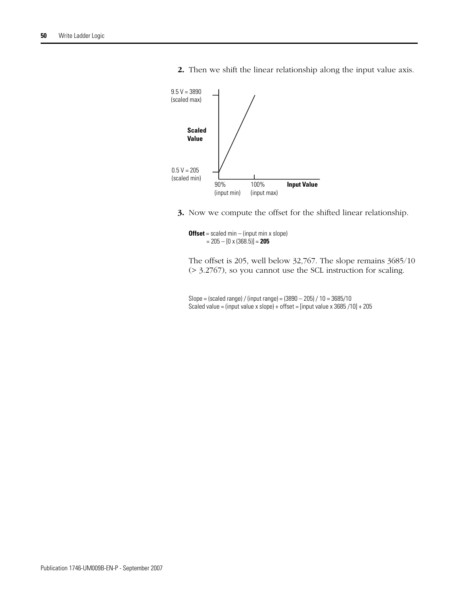

**2.** Then we shift the linear relationship along the input value axis.

**3.** Now we compute the offset for the shifted linear relationship.

**Offset** = scaled min – (input min x slope) = 205 – [0 x (368.5)] = **205**

The offset is 205, well below 32,767. The slope remains 3685/10 (> 3.2767), so you cannot use the SCL instruction for scaling.

Slope = (scaled range) / (input range) = (3890 – 205) / 10 = 3685/10 Scaled value = (input value x slope) + offset = [input value x 3685 /10] + 205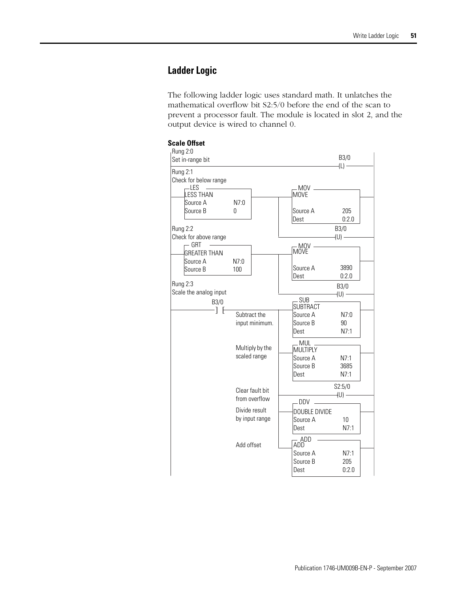# **Ladder Logic**

The following ladder logic uses standard math. It unlatches the mathematical overflow bit S2:5/0 before the end of the scan to prevent a processor fault. The module is located in slot 2, and the output device is wired to channel 0.

#### **Scale Offset**

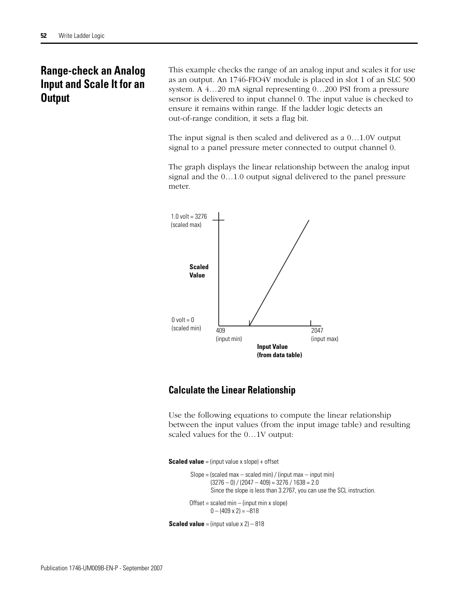# **Range-check an Analog Input and Scale It for an Output**

This example checks the range of an analog input and scales it for use as an output. An 1746-FIO4V module is placed in slot 1 of an SLC 500 system. A 4…20 mA signal representing 0…200 PSI from a pressure sensor is delivered to input channel 0. The input value is checked to ensure it remains within range. If the ladder logic detects an out-of-range condition, it sets a flag bit.

The input signal is then scaled and delivered as a 0…1.0V output signal to a panel pressure meter connected to output channel 0.

The graph displays the linear relationship between the analog input signal and the 0…1.0 output signal delivered to the panel pressure meter.



# **Calculate the Linear Relationship**

Use the following equations to compute the linear relationship between the input values (from the input image table) and resulting scaled values for the 0…1V output:

**Scaled value** = (input value x slope) + offset

```
Slope = (scaled max - scaled min) / (input max - input min)
Offset = scaled min - (input min x slope)(3276 - 0) / (2047 - 409) = 3276 / 1638 = 2.00 - (409 \times 2) = -818Since the slope is less than 3.2767, you can use the SCL instruction.
```

```
Scaled value = (input value x 2) – 818
```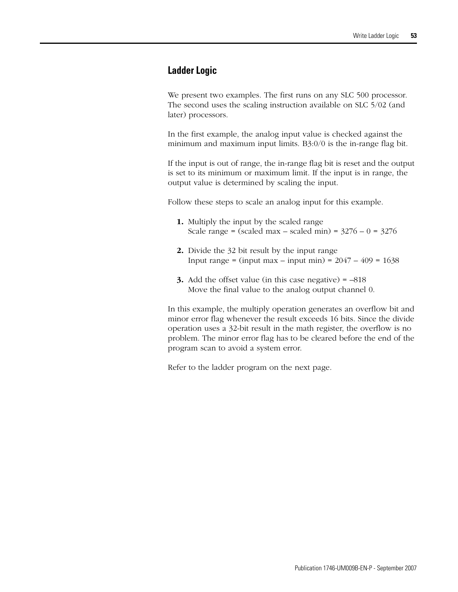# **Ladder Logic**

We present two examples. The first runs on any SLC 500 processor. The second uses the scaling instruction available on SLC 5/02 (and later) processors.

In the first example, the analog input value is checked against the minimum and maximum input limits. B3:0/0 is the in-range flag bit.

If the input is out of range, the in-range flag bit is reset and the output is set to its minimum or maximum limit. If the input is in range, the output value is determined by scaling the input.

Follow these steps to scale an analog input for this example.

- **1.** Multiply the input by the scaled range Scale range = (scaled max – scaled min) =  $3276 - 0 = 3276$
- **2.** Divide the 32 bit result by the input range Input range = (input max – input min) = 2047 – 409 = 1638
- **3.** Add the offset value (in this case negative) = –818 Move the final value to the analog output channel 0.

In this example, the multiply operation generates an overflow bit and minor error flag whenever the result exceeds 16 bits. Since the divide operation uses a 32-bit result in the math register, the overflow is no problem. The minor error flag has to be cleared before the end of the program scan to avoid a system error.

Refer to the ladder program on the next page.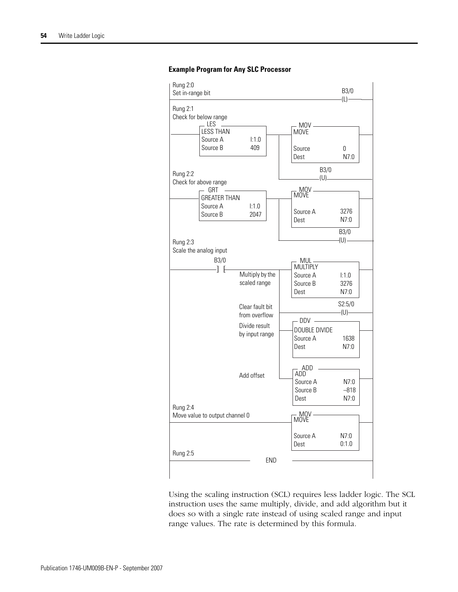

#### **Example Program for Any SLC Processor**

Using the scaling instruction (SCL) requires less ladder logic. The SCL instruction uses the same multiply, divide, and add algorithm but it does so with a single rate instead of using scaled range and input range values. The rate is determined by this formula.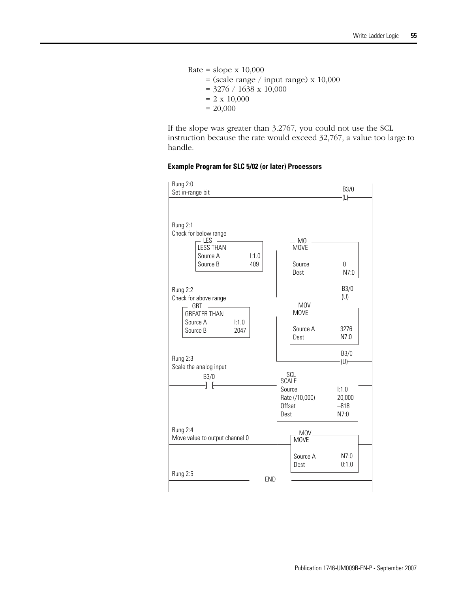Rate = slope  $x 10,000$  $=$  (scale range / input range) x 10,000  $=$  3276 / 1638 x 10,000  $= 2 \times 10,000$  $= 20,000$ 

If the slope was greater than 3.2767, you could not use the SCL instruction because the rate would exceed 32,767, a value too large to handle.

#### **Example Program for SLC 5/02 (or later) Processors**

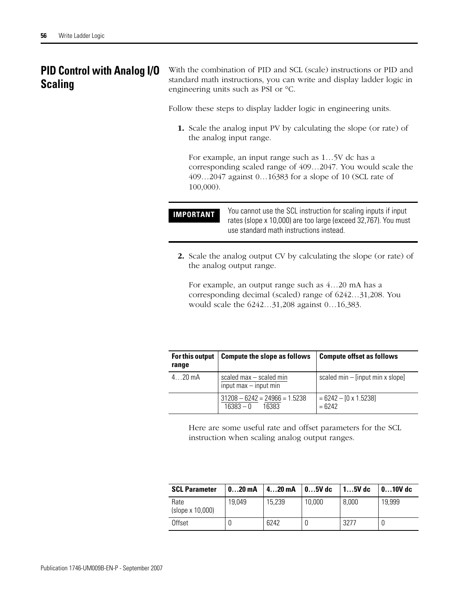# **PID Control with Analog I/O Scaling**

With the combination of PID and SCL (scale) instructions or PID and standard math instructions, you can write and display ladder logic in engineering units such as PSI or °C.

Follow these steps to display ladder logic in engineering units.

**1.** Scale the analog input PV by calculating the slope (or rate) of the analog input range.

For example, an input range such as 1…5V dc has a corresponding scaled range of 409…2047. You would scale the 409…2047 against 0…16383 for a slope of 10 (SCL rate of 100,000).

**IMPORTANT** You cannot use the SCL instruction for scaling inputs if input rates (slope x 10,000) are too large (exceed 32,767). You must use standard math instructions instead.

**2.** Scale the analog output CV by calculating the slope (or rate) of the analog output range.

For example, an output range such as 4…20 mA has a corresponding decimal (scaled) range of 6242…31,208. You would scale the 6242…31,208 against 0…16,383.

| For this output<br>range | <b>Compute the slope as follows</b>                     | <b>Compute offset as follows</b>         |  |
|--------------------------|---------------------------------------------------------|------------------------------------------|--|
| $4$ 20 mA                | scaled $max - scaled min$<br>$input$ max $-$ input min  | scaled $min - [input min x slope]$       |  |
|                          | $31208 - 6242 = 24966 = 1.5238$<br>$16383 - 0$<br>16383 | $= 6242 - [0 \times 1.5238]$<br>$= 6242$ |  |

Here are some useful rate and offset parameters for the SCL instruction when scaling analog output ranges.

| <b>SCL Parameter</b>     | $020$ mA | $420$ mA | $05V$ dc | $15V$ dc | $010V$ dc |
|--------------------------|----------|----------|----------|----------|-----------|
| Rate<br>(slope x 10,000) | 19.049   | 15,239   | 10,000   | 8,000    | 19.999    |
| Offset                   |          | 6242     |          | 3277     |           |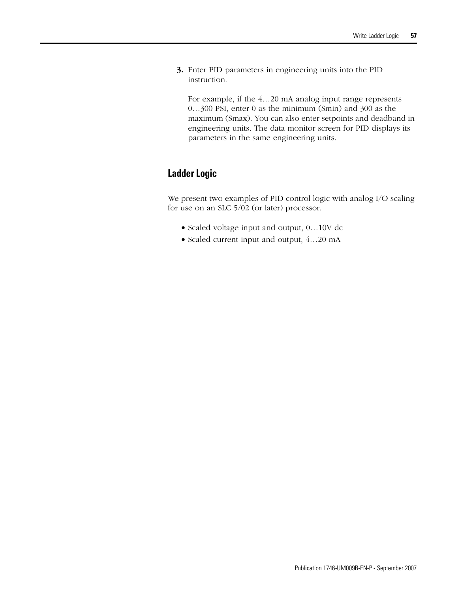**3.** Enter PID parameters in engineering units into the PID instruction.

For example, if the 4…20 mA analog input range represents 0…300 PSI, enter 0 as the minimum (Smin) and 300 as the maximum (Smax). You can also enter setpoints and deadband in engineering units. The data monitor screen for PID displays its parameters in the same engineering units.

# **Ladder Logic**

We present two examples of PID control logic with analog I/O scaling for use on an SLC 5/02 (or later) processor.

- Scaled voltage input and output, 0…10V dc
- Scaled current input and output, 4…20 mA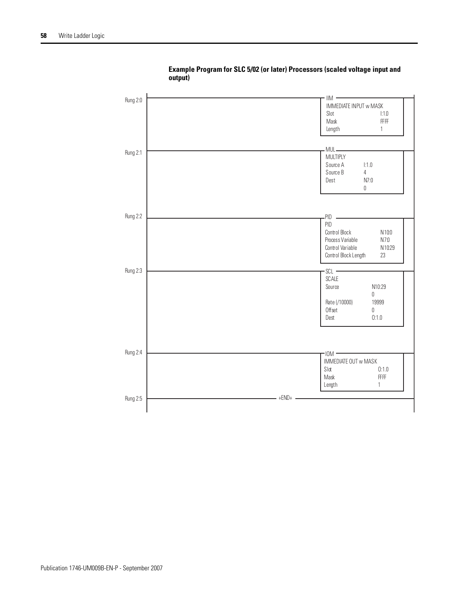

**Example Program for SLC 5/02 (or later) Processors (scaled voltage input and output)**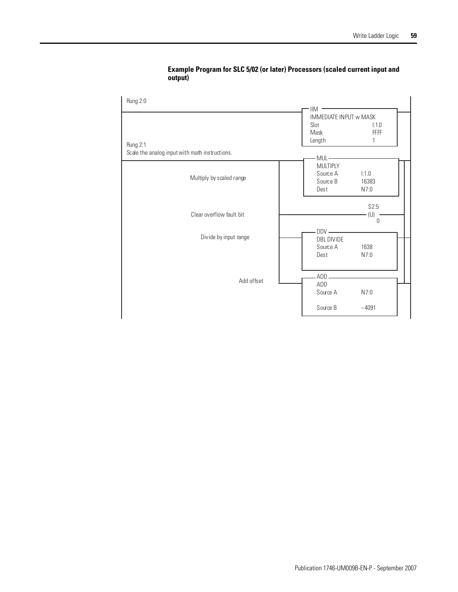| Rung 2:0                                       | $\ensuremath{\mathsf{IIM}}$                      |                           |
|------------------------------------------------|--------------------------------------------------|---------------------------|
| Rung 2:1                                       | IMMEDIATE INPUT w MASK<br>Slot<br>Mask<br>Length | 1:1.0<br><b>FFFF</b><br>1 |
| Scale the analog input with math instructions. | $MUL -$                                          |                           |
| Multiply by scaled range                       | <b>MULTIPLY</b><br>Source A<br>Source B<br>Dest  | 1:1.0<br>16383<br>N7:0    |
| Clear overflow fault bit                       |                                                  | S2:5<br>(U)<br>0          |
| Divide by input range                          | $DDV -$<br>DBL DIVIDE<br>Source A<br>Dest        | 1638<br>N7:0              |
| Add offset                                     | ADD<br>ADD<br>Source A                           | N7:0                      |
|                                                | Source B                                         | $-4091$                   |

### **Example Program for SLC 5/02 (or later) Processors (scaled current input and output)**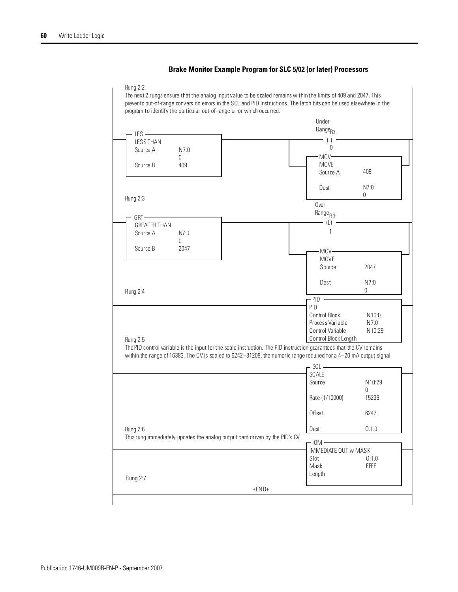### **Brake Monitor Example Program for SLC 5/02 (or later) Processors**

#### Rung 2:2

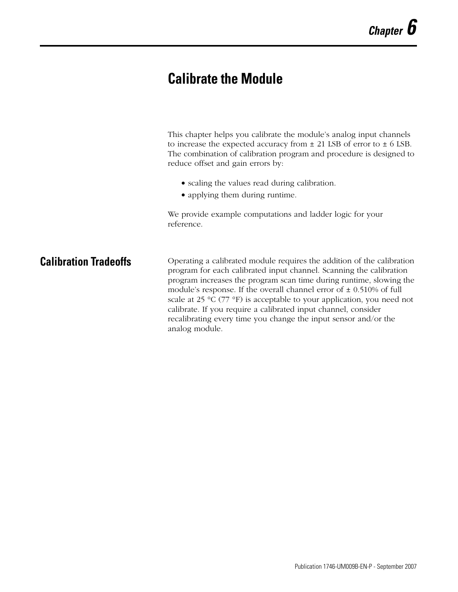# **Calibrate the Module**

This chapter helps you calibrate the module's analog input channels to increase the expected accuracy from  $\pm$  21 LSB of error to  $\pm$  6 LSB. The combination of calibration program and procedure is designed to reduce offset and gain errors by:

- scaling the values read during calibration.
- applying them during runtime.

We provide example computations and ladder logic for your reference.

**Calibration Tradeoffs** Operating a calibrated module requires the addition of the calibration program for each calibrated input channel. Scanning the calibration program increases the program scan time during runtime, slowing the module's response. If the overall channel error of  $\pm$  0.510% of full scale at 25 °C (77 °F) is acceptable to your application, you need not calibrate. If you require a calibrated input channel, consider recalibrating every time you change the input sensor and/or the analog module.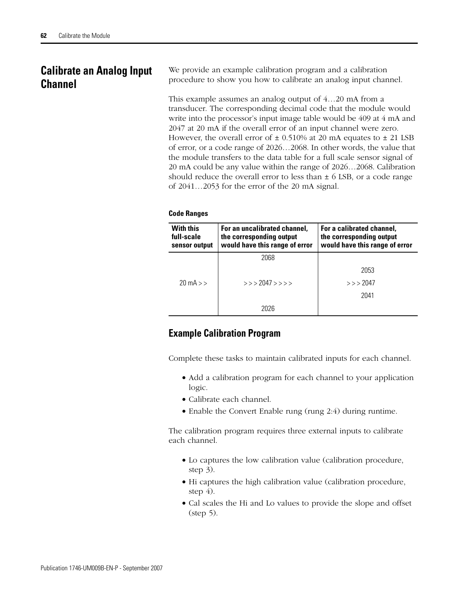# **Calibrate an Analog Input Channel**

We provide an example calibration program and a calibration procedure to show you how to calibrate an analog input channel.

This example assumes an analog output of 4…20 mA from a transducer. The corresponding decimal code that the module would write into the processor's input image table would be 409 at 4 mA and 2047 at 20 mA if the overall error of an input channel were zero. However, the overall error of  $\pm$  0.510% at 20 mA equates to  $\pm$  21 LSB of error, or a code range of 2026…2068. In other words, the value that the module transfers to the data table for a full scale sensor signal of 20 mA could be any value within the range of 2026…2068. Calibration should reduce the overall error to less than  $\pm$  6 LSB, or a code range of 2041…2053 for the error of the 20 mA signal.

### **Code Ranges**

| <b>With this</b><br>For an uncalibrated channel,<br>the corresponding output<br>full-scale<br>would have this range of error<br>sensor output |                   | For a calibrated channel,<br>the corresponding output<br>would have this range of error |  |
|-----------------------------------------------------------------------------------------------------------------------------------------------|-------------------|-----------------------------------------------------------------------------------------|--|
|                                                                                                                                               | 2068              |                                                                                         |  |
|                                                                                                                                               |                   | 2053                                                                                    |  |
| $20 \text{ mA}$                                                                                                                               | $>>$ 2047 > > > > | >> 2047                                                                                 |  |
|                                                                                                                                               |                   | 2041                                                                                    |  |
|                                                                                                                                               | 2በ26              |                                                                                         |  |

### **Example Calibration Program**

Complete these tasks to maintain calibrated inputs for each channel.

- Add a calibration program for each channel to your application logic.
- Calibrate each channel.
- Enable the Convert Enable rung (rung 2:4) during runtime.

The calibration program requires three external inputs to calibrate each channel.

- Lo captures the low calibration value (calibration procedure, step 3).
- Hi captures the high calibration value (calibration procedure, step  $4$ ).
- Cal scales the Hi and Lo values to provide the slope and offset (step 5).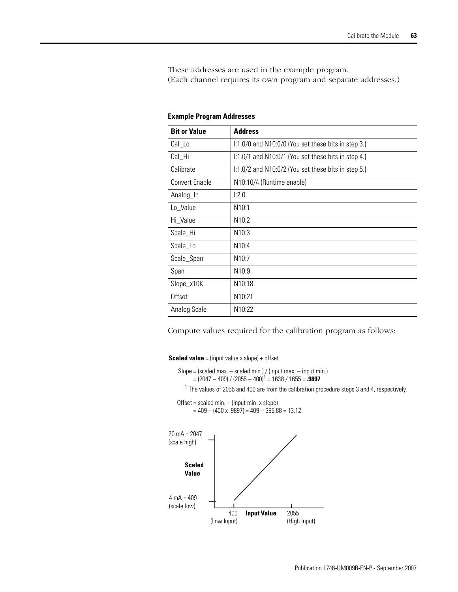These addresses are used in the example program. (Each channel requires its own program and separate addresses.)

| <b>Bit or Value</b>   | <b>Address</b>                                              |
|-----------------------|-------------------------------------------------------------|
| Cal_Lo                | $1:1.0/0$ and N10:0/0 (You set these bits in step 3.)       |
| Cal_Hi                | $\frac{1}{1.0}$ and N10:0/1 (You set these bits in step 4.) |
| Calibrate             | $1:1.0/2$ and N10:0/2 (You set these bits in step 5.)       |
| <b>Convert Enable</b> | N10:10/4 (Runtime enable)                                   |
| Analog_In             | 1:2.0                                                       |
| Lo_Value              | N10:1                                                       |
| Hi Value              | N10:2                                                       |
| Scale Hi              | N10:3                                                       |
| Scale_Lo              | N <sub>10:4</sub>                                           |
| Scale_Span            | N10:7                                                       |
| Span                  | N10:9                                                       |
| Slope_x10K            | N10:18                                                      |
| Offset                | N10:21                                                      |
| Analog Scale          | N10:22                                                      |

#### **Example Program Addresses**

Compute values required for the calibration program as follows:

**Scaled value** = (input value x slope) + offset

```
Slope = (scaled max. - scaled min.) / (input max. - input min.)
Offset = scaled min. – (input min. x slope)
       = (2047 – 409) / (2055 – 400)1
 = 1638 / 1655 = .9897
      = 409 - (400 \times .9897) = 409 - 395.88 = 13.12<sup>1</sup> The values of 2055 and 400 are from the calibration procedure steps 3 and 4, respectively.
```
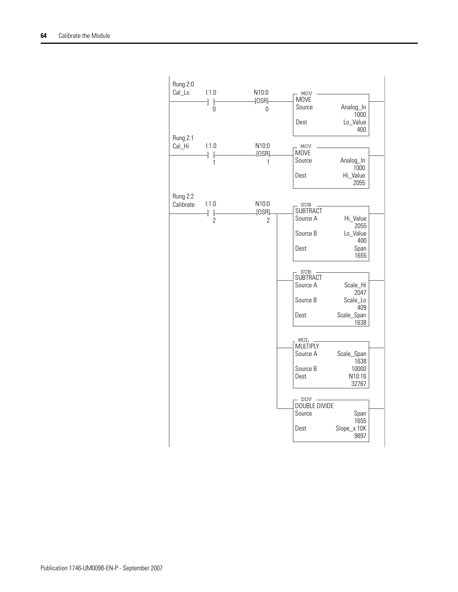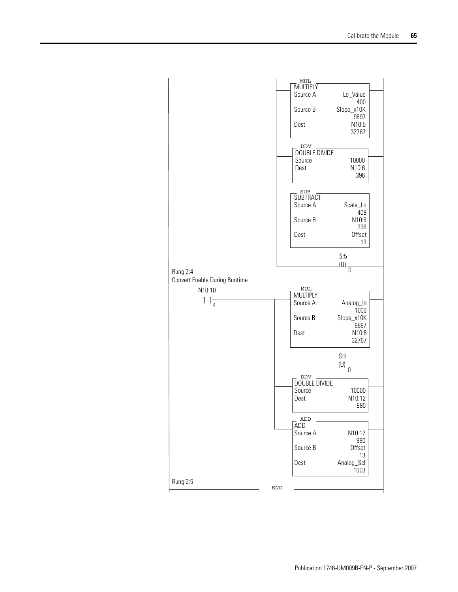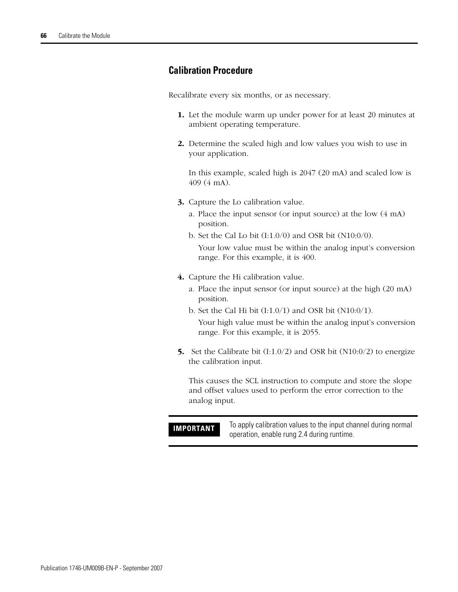### **Calibration Procedure**

Recalibrate every six months, or as necessary.

- **1.** Let the module warm up under power for at least 20 minutes at ambient operating temperature.
- **2.** Determine the scaled high and low values you wish to use in your application.

In this example, scaled high is 2047 (20 mA) and scaled low is 409 (4 mA).

- **3.** Capture the Lo calibration value.
	- a. Place the input sensor (or input source) at the low (4 mA) position.
	- b. Set the Cal Lo bit  $(I:1.0/0)$  and OSR bit  $(N10:0/0)$ . Your low value must be within the analog input's conversion range. For this example, it is 400.
- **4.** Capture the Hi calibration value.
	- a. Place the input sensor (or input source) at the high (20 mA) position.
	- b. Set the Cal Hi bit  $(I:1.0/1)$  and OSR bit  $(N10:0/1)$ .

Your high value must be within the analog input's conversion range. For this example, it is 2055.

**5.** Set the Calibrate bit (I:1.0/2) and OSR bit (N10:0/2) to energize the calibration input.

This causes the SCL instruction to compute and store the slope and offset values used to perform the error correction to the analog input.

**IMPORTANT** To apply calibration values to the input channel during normal operation, enable rung 2.4 during runtime.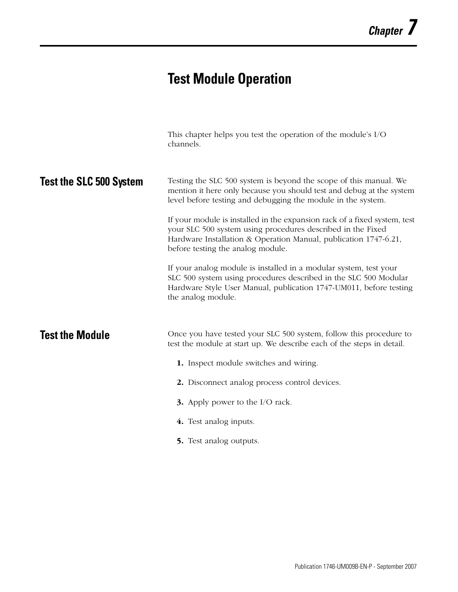# **Test Module Operation**

|                                | This chapter helps you test the operation of the module's I/O<br>channels.                                                                                                                                                                                                                                                                                                                                                                                                                                                                                                                                                                                                                          |
|--------------------------------|-----------------------------------------------------------------------------------------------------------------------------------------------------------------------------------------------------------------------------------------------------------------------------------------------------------------------------------------------------------------------------------------------------------------------------------------------------------------------------------------------------------------------------------------------------------------------------------------------------------------------------------------------------------------------------------------------------|
| <b>Test the SLC 500 System</b> | Testing the SLC 500 system is beyond the scope of this manual. We<br>mention it here only because you should test and debug at the system<br>level before testing and debugging the module in the system.<br>If your module is installed in the expansion rack of a fixed system, test<br>your SLC 500 system using procedures described in the Fixed<br>Hardware Installation & Operation Manual, publication 1747-6.21,<br>before testing the analog module.<br>If your analog module is installed in a modular system, test your<br>SLC 500 system using procedures described in the SLC 500 Modular<br>Hardware Style User Manual, publication 1747-UM011, before testing<br>the analog module. |
| <b>Test the Module</b>         | Once you have tested your SLC 500 system, follow this procedure to<br>test the module at start up. We describe each of the steps in detail.<br>1. Inspect module switches and wiring.<br>2. Disconnect analog process control devices.                                                                                                                                                                                                                                                                                                                                                                                                                                                              |
|                                | <b>3.</b> Apply power to the I/O rack.<br>4. Test analog inputs.                                                                                                                                                                                                                                                                                                                                                                                                                                                                                                                                                                                                                                    |
|                                | 5. Test analog outputs.                                                                                                                                                                                                                                                                                                                                                                                                                                                                                                                                                                                                                                                                             |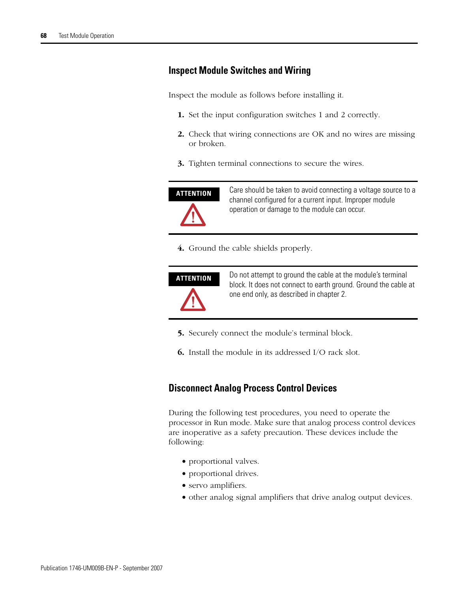# **Inspect Module Switches and Wiring**

Inspect the module as follows before installing it.

- **1.** Set the input configuration switches 1 and 2 correctly.
- **2.** Check that wiring connections are OK and no wires are missing or broken.
- **3.** Tighten terminal connections to secure the wires.



**ATTENTION** Care should be taken to avoid connecting a voltage source to a channel configured for a current input. Improper module operation or damage to the module can occur.

**4.** Ground the cable shields properly.



**ATTENTION** Do not attempt to ground the cable at the module's terminal block. It does not connect to earth ground. Ground the cable at one end only, as described in chapter 2.

- **5.** Securely connect the module's terminal block.
- **6.** Install the module in its addressed I/O rack slot.

### **Disconnect Analog Process Control Devices**

During the following test procedures, you need to operate the processor in Run mode. Make sure that analog process control devices are inoperative as a safety precaution. These devices include the following:

- proportional valves.
- proportional drives.
- servo amplifiers.
- other analog signal amplifiers that drive analog output devices.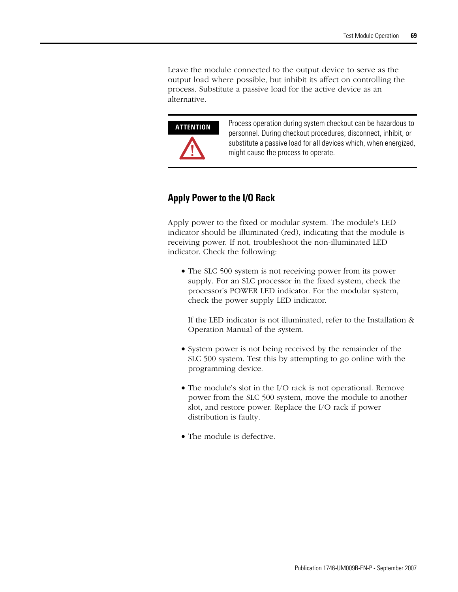Leave the module connected to the output device to serve as the output load where possible, but inhibit its affect on controlling the process. Substitute a passive load for the active device as an alternative.



**ATTENTION** Process operation during system checkout can be hazardous to personnel. During checkout procedures, disconnect, inhibit, or substitute a passive load for all devices which, when energized, might cause the process to operate.

# **Apply Power to the I/O Rack**

Apply power to the fixed or modular system. The module's LED indicator should be illuminated (red), indicating that the module is receiving power. If not, troubleshoot the non-illuminated LED indicator. Check the following:

• The SLC 500 system is not receiving power from its power supply. For an SLC processor in the fixed system, check the processor's POWER LED indicator. For the modular system, check the power supply LED indicator.

If the LED indicator is not illuminated, refer to the Installation & Operation Manual of the system.

- System power is not being received by the remainder of the SLC 500 system. Test this by attempting to go online with the programming device.
- The module's slot in the I/O rack is not operational. Remove power from the SLC 500 system, move the module to another slot, and restore power. Replace the I/O rack if power distribution is faulty.
- The module is defective.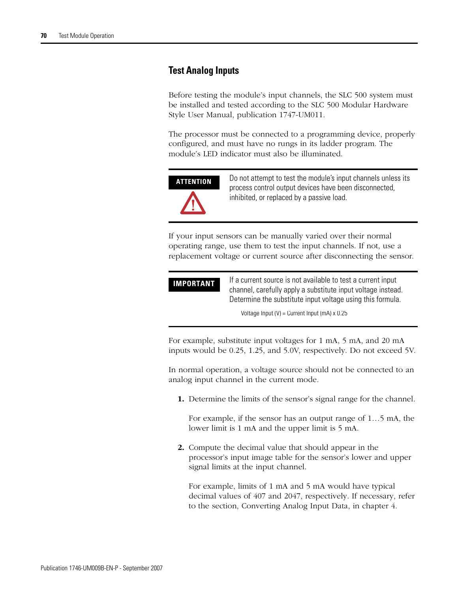### **Test Analog Inputs**

Before testing the module's input channels, the SLC 500 system must be installed and tested according to the SLC 500 Modular Hardware Style User Manual, publication 1747-UM011.

The processor must be connected to a programming device, properly configured, and must have no rungs in its ladder program. The module's LED indicator must also be illuminated.



**ATTENTION** Do not attempt to test the module's input channels unless its process control output devices have been disconnected, inhibited, or replaced by a passive load.

If your input sensors can be manually varied over their normal operating range, use them to test the input channels. If not, use a replacement voltage or current source after disconnecting the sensor.

| <b>IMPORTANT</b> | If a current source is not available to test a current input                                                               |
|------------------|----------------------------------------------------------------------------------------------------------------------------|
|                  | channel, carefully apply a substitute input voltage instead.<br>Determine the substitute input voltage using this formula. |
|                  |                                                                                                                            |

Voltage Input  $(V)$  = Current Input (mA)  $x$  0.25

For example, substitute input voltages for 1 mA, 5 mA, and 20 mA inputs would be 0.25, 1.25, and 5.0V, respectively. Do not exceed 5V.

In normal operation, a voltage source should not be connected to an analog input channel in the current mode.

**1.** Determine the limits of the sensor's signal range for the channel.

For example, if the sensor has an output range of 1…5 mA, the lower limit is 1 mA and the upper limit is 5 mA.

**2.** Compute the decimal value that should appear in the processor's input image table for the sensor's lower and upper signal limits at the input channel.

For example, limits of 1 mA and 5 mA would have typical decimal values of 407 and 2047, respectively. If necessary, refer to the section, Converting Analog Input Data, in chapter 4.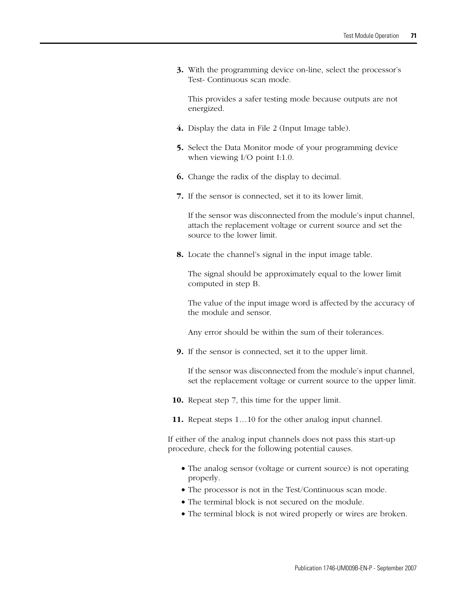**3.** With the programming device on-line, select the processor's Test- Continuous scan mode.

This provides a safer testing mode because outputs are not energized.

- **4.** Display the data in File 2 (Input Image table).
- **5.** Select the Data Monitor mode of your programming device when viewing I/O point I:1.0.
- **6.** Change the radix of the display to decimal.
- **7.** If the sensor is connected, set it to its lower limit.

If the sensor was disconnected from the module's input channel, attach the replacement voltage or current source and set the source to the lower limit.

**8.** Locate the channel's signal in the input image table.

The signal should be approximately equal to the lower limit computed in step B.

The value of the input image word is affected by the accuracy of the module and sensor.

Any error should be within the sum of their tolerances.

**9.** If the sensor is connected, set it to the upper limit.

If the sensor was disconnected from the module's input channel, set the replacement voltage or current source to the upper limit.

- **10.** Repeat step 7, this time for the upper limit.
- **11.** Repeat steps 1…10 for the other analog input channel.

If either of the analog input channels does not pass this start-up procedure, check for the following potential causes.

- The analog sensor (voltage or current source) is not operating properly.
- The processor is not in the Test/Continuous scan mode.
- The terminal block is not secured on the module.
- The terminal block is not wired properly or wires are broken.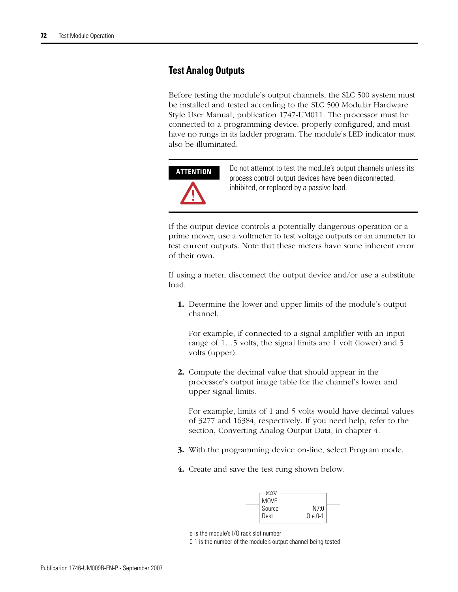### **Test Analog Outputs**

Before testing the module's output channels, the SLC 500 system must be installed and tested according to the SLC 500 Modular Hardware Style User Manual, publication 1747-UM011. The processor must be connected to a programming device, properly configured, and must have no rungs in its ladder program. The module's LED indicator must also be illuminated.



**ATTENTION** Do not attempt to test the module's output channels unless its process control output devices have been disconnected, inhibited, or replaced by a passive load.

If the output device controls a potentially dangerous operation or a prime mover, use a voltmeter to test voltage outputs or an ammeter to test current outputs. Note that these meters have some inherent error of their own.

If using a meter, disconnect the output device and/or use a substitute load.

**1.** Determine the lower and upper limits of the module's output channel.

For example, if connected to a signal amplifier with an input range of 1…5 volts, the signal limits are 1 volt (lower) and 5 volts (upper).

**2.** Compute the decimal value that should appear in the processor's output image table for the channel's lower and upper signal limits.

For example, limits of 1 and 5 volts would have decimal values of 3277 and 16384, respectively. If you need help, refer to the section, Converting Analog Output Data, in chapter 4.

- **3.** With the programming device on-line, select Program mode.
- **4.** Create and save the test rung shown below.

| MOV<br><b>MOVE</b> |                     |  |
|--------------------|---------------------|--|
| Source<br>Dest     | N7:0<br>$0: e. 0-1$ |  |

0-1 is the number of the module's output channel being tested

e is the module's I/O rack slot number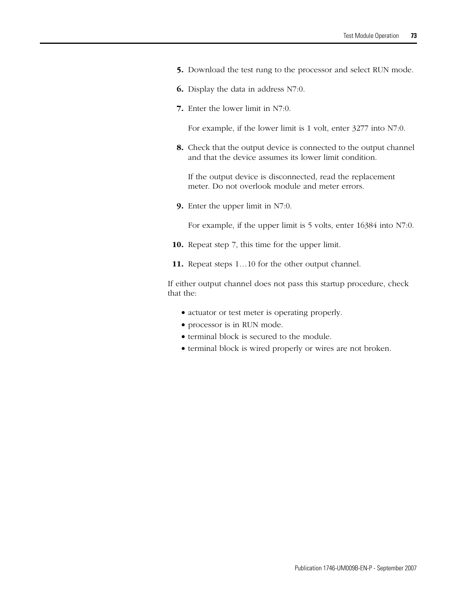- **5.** Download the test rung to the processor and select RUN mode.
- **6.** Display the data in address N7:0.
- **7.** Enter the lower limit in N7:0.

For example, if the lower limit is 1 volt, enter 3277 into N7:0.

**8.** Check that the output device is connected to the output channel and that the device assumes its lower limit condition.

If the output device is disconnected, read the replacement meter. Do not overlook module and meter errors.

**9.** Enter the upper limit in N7:0.

For example, if the upper limit is 5 volts, enter 16384 into N7:0.

- **10.** Repeat step 7, this time for the upper limit.
- **11.** Repeat steps 1…10 for the other output channel.

If either output channel does not pass this startup procedure, check that the:

- actuator or test meter is operating properly.
- processor is in RUN mode.
- terminal block is secured to the module.
- terminal block is wired properly or wires are not broken.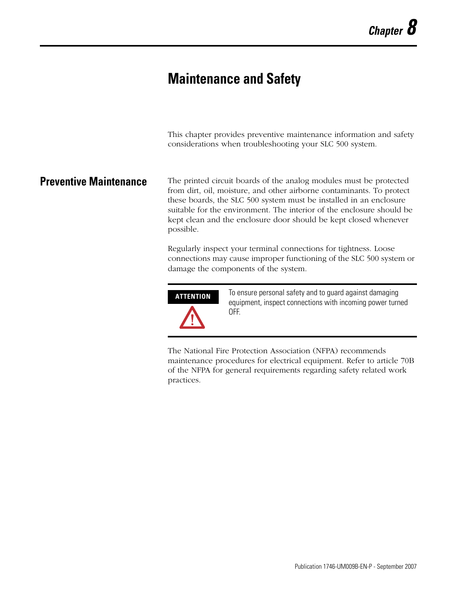# <span id="page-74-0"></span>**Maintenance and Safety**

<span id="page-74-1"></span>This chapter provides preventive maintenance information and safety considerations when troubleshooting your SLC 500 system.

**Preventive Maintenance** The printed circuit boards of the analog modules must be protected from dirt, oil, moisture, and other airborne contaminants. To protect these boards, the SLC 500 system must be installed in an enclosure suitable for the environment. The interior of the enclosure should be kept clean and the enclosure door should be kept closed whenever possible.

> Regularly inspect your terminal connections for tightness. Loose connections may cause improper functioning of the SLC 500 system or damage the components of the system.



**ATTENTION** To ensure personal safety and to guard against damaging equipment, inspect connections with incoming power turned OFF.

The National Fire Protection Association (NFPA) recommends maintenance procedures for electrical equipment. Refer to article 70B of the NFPA for general requirements regarding safety related work practices.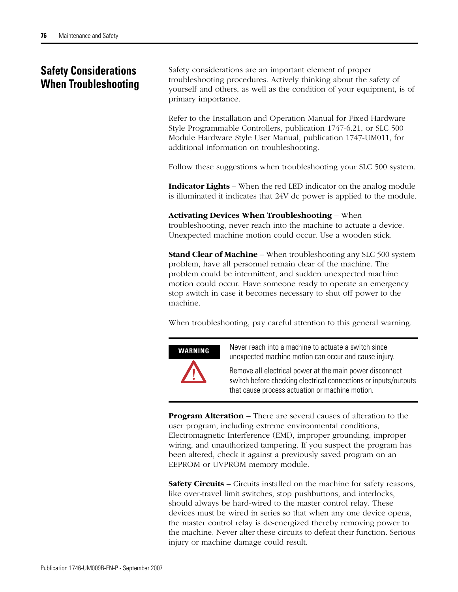## **Safety Considerations When Troubleshooting**

<span id="page-75-0"></span>Safety considerations are an important element of proper troubleshooting procedures. Actively thinking about the safety of yourself and others, as well as the condition of your equipment, is of primary importance.

Refer to the Installation and Operation Manual for Fixed Hardware Style Programmable Controllers, publication 1747-6.21, or SLC 500 Module Hardware Style User Manual, publication 1747-UM011, for additional information on troubleshooting.

Follow these suggestions when troubleshooting your SLC 500 system.

**Indicator Lights** – When the red LED indicator on the analog module is illuminated it indicates that 24V dc power is applied to the module.

#### **Activating Devices When Troubleshooting** – When

troubleshooting, never reach into the machine to actuate a device. Unexpected machine motion could occur. Use a wooden stick.

**Stand Clear of Machine** – When troubleshooting any SLC 500 system problem, have all personnel remain clear of the machine. The problem could be intermittent, and sudden unexpected machine motion could occur. Have someone ready to operate an emergency stop switch in case it becomes necessary to shut off power to the machine.

When troubleshooting, pay careful attention to this general warning.



**WARNING** Never reach into a machine to actuate a switch since unexpected machine motion can occur and cause injury.

> Remove all electrical power at the main power disconnect switch before checking electrical connections or inputs/outputs that cause process actuation or machine motion.

**Program Alteration** – There are several causes of alteration to the user program, including extreme environmental conditions, Electromagnetic Interference (EMI), improper grounding, improper wiring, and unauthorized tampering. If you suspect the program has been altered, check it against a previously saved program on an EEPROM or UVPROM memory module.

**Safety Circuits** – Circuits installed on the machine for safety reasons, like over-travel limit switches, stop pushbuttons, and interlocks, should always be hard-wired to the master control relay. These devices must be wired in series so that when any one device opens, the master control relay is de-energized thereby removing power to the machine. Never alter these circuits to defeat their function. Serious injury or machine damage could result.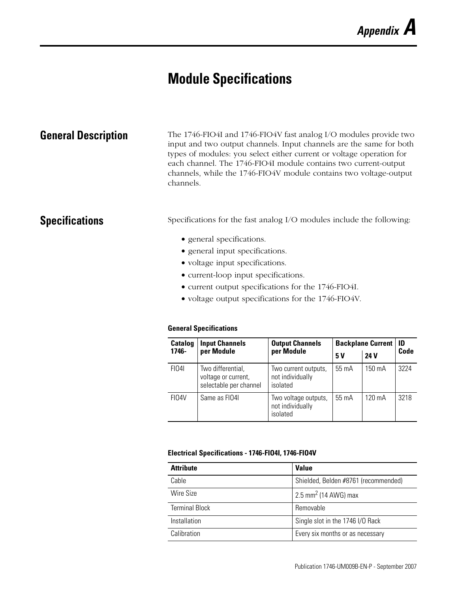# <span id="page-76-1"></span><span id="page-76-0"></span>**Module Specifications**

**General Description** The 1746-FIO4I and 1746-FIO4V fast analog I/O modules provide two input and two output channels. Input channels are the same for both types of modules: you select either current or voltage operation for each channel. The 1746-FIO4I module contains two current-output channels, while the 1746-FIO4V module contains two voltage-output channels.

<span id="page-76-2"></span>**Specifications** Specifications for the fast analog I/O modules include the following:

- general specifications.
- general input specifications.
- voltage input specifications.
- current-loop input specifications.
- current output specifications for the 1746-FIO4I.
- voltage output specifications for the 1746-FIO4V.

#### **General Specifications**

| <b>Catalog</b> | <b>Input Channels</b>                                              | <b>Output Channels</b>                               | <b>Backplane Current</b> | ID          |      |  |
|----------------|--------------------------------------------------------------------|------------------------------------------------------|--------------------------|-------------|------|--|
| 1746-          | per Module                                                         | per Module                                           | 5 V                      | <b>24 V</b> | Code |  |
| <b>FI04I</b>   | Two differential,<br>voltage or current,<br>selectable per channel | Two current outputs,<br>not individually<br>isolated | $55 \text{ mA}$          | 150 mA      | 3224 |  |
| FI04V          | Same as FIO41                                                      | Two voltage outputs,<br>not individually<br>isolated | 55 mA                    | 120 mA      | 3218 |  |

#### **Electrical Specifications - 1746-FIO4I, 1746-FIO4V**

| <b>Attribute</b>      | <b>Value</b>                         |
|-----------------------|--------------------------------------|
| Cable                 | Shielded, Belden #8761 (recommended) |
| Wire Size             | 2.5 mm <sup>2</sup> (14 AWG) max     |
| <b>Terminal Block</b> | Removable                            |
| Installation          | Single slot in the 1746 I/O Rack     |
| Calibration           | Every six months or as necessary     |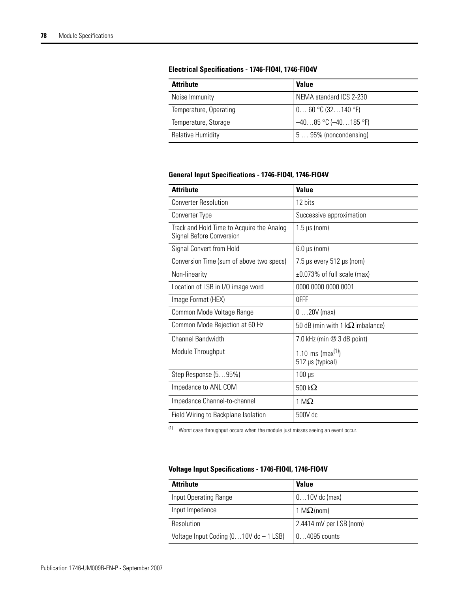#### **Electrical Specifications - 1746-FIO4I, 1746-FIO4V**

| <b>Attribute</b>         | <b>Value</b>              |
|--------------------------|---------------------------|
| Noise Immunity           | NEMA standard ICS 2-230   |
| Temperature, Operating   | 0 60 °C (32140 °F)        |
| Temperature, Storage     | $-4085$ °C ( $-40185$ °F) |
| <b>Relative Humidity</b> | 5  95% (noncondensing)    |

#### <span id="page-77-0"></span>**General Input Specifications - 1746-FIO4I, 1746-FIO4V**

| <b>Attribute</b>                                                      | <b>Value</b>                                      |
|-----------------------------------------------------------------------|---------------------------------------------------|
| <b>Converter Resolution</b>                                           | 12 bits                                           |
| Converter Type                                                        | Successive approximation                          |
| Track and Hold Time to Acquire the Analog<br>Signal Before Conversion | $1.5 \,\mu s$ (nom)                               |
| Signal Convert from Hold                                              | $6.0 \,\mu s$ (nom)                               |
| Conversion Time (sum of above two specs)                              | $7.5 \,\mu s$ every $512 \,\mu s$ (nom)           |
| Non-linearity                                                         | ±0.073% of full scale (max)                       |
| Location of LSB in I/O image word                                     | 0000 0000 0000 0001                               |
| Image Format (HEX)                                                    | <b>OFFF</b>                                       |
| Common Mode Voltage Range                                             | $020V$ (max)                                      |
| Common Mode Rejection at 60 Hz                                        | 50 dB (min with 1 k $\Omega$ imbalance)           |
| Channel Bandwidth                                                     | 7.0 kHz (min @ 3 dB point)                        |
| Module Throughput                                                     | 1.10 ms (max <sup>(1)</sup> )<br>512 µs (typical) |
| Step Response (595%)                                                  | $100 \mu s$                                       |
| Impedance to ANL COM                                                  | 500 k $\Omega$                                    |
| Impedance Channel-to-channel                                          | 1 M $\Omega$                                      |
| Field Wiring to Backplane Isolation                                   | 500V dc                                           |

<span id="page-77-1"></span> $(1)$  Worst case throughput occurs when the module just misses seeing an event occur.

#### **Voltage Input Specifications - 1746-FIO4I, 1746-FIO4V**

| <b>Attribute</b>                          | <b>Value</b>            |
|-------------------------------------------|-------------------------|
| Input Operating Range                     | $010V$ dc (max)         |
| Input Impedance                           | 1 M $\Omega$ (nom)      |
| Resolution                                | 2.4414 mV per LSB (nom) |
| Voltage Input Coding $(010V$ dc $-1$ LSB) | $04095$ counts          |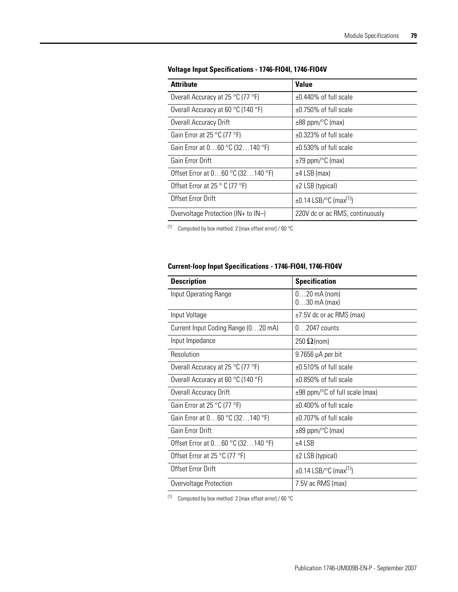| <b>Attribute</b>                                | <b>Value</b>                            |
|-------------------------------------------------|-----------------------------------------|
| Overall Accuracy at 25 °C (77 °F)               | $\pm 0.440\%$ of full scale             |
| Overall Accuracy at 60 °C (140 °F)              | $\pm 0.750\%$ of full scale             |
| Overall Accuracy Drift                          | $\pm 88$ ppm/ $\degree$ C (max)         |
| Gain Error at 25 °C (77 °F)                     | $\pm 0.323\%$ of full scale             |
| Gain Error at $060$ °C (32140 °F)               | $\pm 0.530\%$ of full scale             |
| Gain Frror Drift                                | $\pm$ 79 ppm/ $\degree$ C (max)         |
| Offset Error at 060 °C (32140 °F)               | $±4$ LSB (max)                          |
| Offset Error at 25 $\degree$ C (77 $\degree$ F) | $\pm 2$ LSB (typical)                   |
| Offset Error Drift                              | $\pm$ 0.14 LSB/°C (max <sup>(1)</sup> ) |
| Overvoltage Protection ( $IN+$ to $IN-)$        | 220V dc or ac RMS, continuously         |

#### **Voltage Input Specifications - 1746-FIO4I, 1746-FIO4V**

<span id="page-78-0"></span>(1) Computed by box method: 2 [max offset error] / 60 °C

#### **Current-loop Input Specifications - 1746-FIO4I, 1746-FIO4V**

| <b>Description</b>                                   | <b>Specification</b>                          |
|------------------------------------------------------|-----------------------------------------------|
| Input Operating Range                                | $020$ mA (nom)<br>$030$ mA (max)              |
| Input Voltage                                        | $\pm$ 7.5V dc or ac RMS (max)                 |
| Current Input Coding Range (020 mA)                  | $0 \dots 2047$ counts                         |
| Input Impedance                                      | 250 $\Omega$ (nom)                            |
| Resolution                                           | $9.7656 \mu A$ per bit                        |
| Overall Accuracy at 25 °C (77 °F)                    | $\pm 0.510\%$ of full scale                   |
| Overall Accuracy at 60 $\degree$ C (140 $\degree$ F) | $\pm 0.850\%$ of full scale                   |
| Overall Accuracy Drift                               | $\pm 98$ ppm/ $\degree$ C of full scale (max) |
| Gain Error at 25 °C (77 °F)                          | $\pm 0.400\%$ of full scale                   |
| Gain Error at 060 °C (32140 °F)                      | $+0.707\%$ of full scale                      |
| Gain Error Drift                                     | $\pm 89$ ppm/ $\degree$ C (max)               |
| Offset Error at 060 °C (32140 °F)                    | $±4$ LSB                                      |
| Offset Error at 25 °C (77 °F)                        | $\pm 2$ LSB (typical)                         |
| Offset Error Drift                                   | $\pm 0.14$ LSB/°C (max <sup>(1)</sup> )       |
| Overvoltage Protection                               | 7.5V ac RMS (max)                             |

(1) Computed by box method: 2 [max offset error] / 60 °C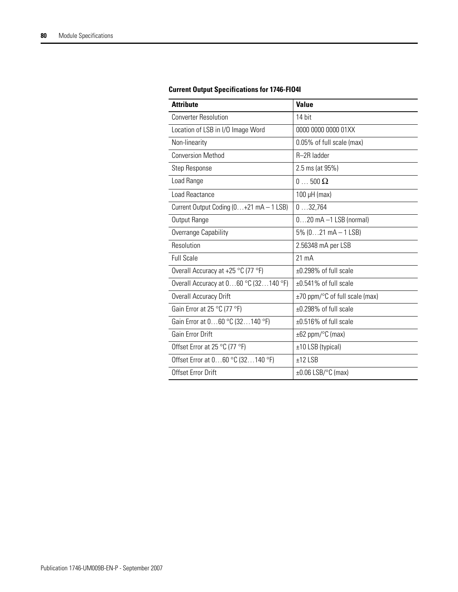| <b>Attribute</b>                        | <b>Value</b>                    |
|-----------------------------------------|---------------------------------|
| <b>Converter Resolution</b>             | 14 bit                          |
| Location of LSB in I/O Image Word       | 0000 0000 0000 01XX             |
| Non-linearity                           | 0.05% of full scale (max)       |
| <b>Conversion Method</b>                | R-2R ladder                     |
| Step Response                           | 2.5 ms (at 95%)                 |
| Load Range                              | $0 \dots 500 \Omega$            |
| Load Reactance                          | $100 \mu H$ (max)               |
| Current Output Coding (0+21 mA - 1 LSB) | 032,764                         |
| Output Range                            | $020$ mA $-1$ LSB (normal)      |
| Overrange Capability                    | $5\%$ (021 mA $-$ 1 LSB)        |
| Resolution                              | 2.56348 mA per LSB              |
| <b>Full Scale</b>                       | $21 \text{ mA}$                 |
| Overall Accuracy at +25 °C (77 °F)      | ±0.298% of full scale           |
| Overall Accuracy at $060$ °C (32140 °F) | $\pm 0.541\%$ of full scale     |
| Overall Accuracy Drift                  | ±70 ppm/°C of full scale (max)  |
| Gain Error at 25 °C (77 °F)             | ±0.298% of full scale           |
| Gain Error at 060 °C (32140 °F)         | $\pm 0.516\%$ of full scale     |
| Gain Error Drift                        | $\pm 62$ ppm/ $\degree$ C (max) |
| Offset Error at 25 °C (77 °F)           | ±10 LSB (typical)               |
| Offset Error at 060 °C (32140 °F)       | $±12$ LSB                       |
| Offset Error Drift                      | $\pm 0.06$ LSB/°C (max)         |

#### <span id="page-79-0"></span>**Current Output Specifications for 1746-FIO4I**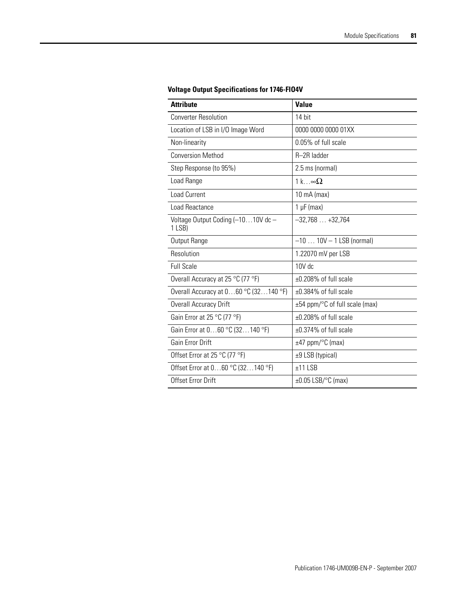| <b>Attribute</b>                              | <b>Value</b>                   |  |  |
|-----------------------------------------------|--------------------------------|--|--|
| <b>Converter Resolution</b>                   | 14 bit                         |  |  |
| Location of LSB in I/O Image Word             | 0000 0000 0000 01XX            |  |  |
| Non-linearity                                 | 0.05% of full scale            |  |  |
| <b>Conversion Method</b>                      | R-2R ladder                    |  |  |
| Step Response (to 95%)                        | 2.5 ms (normal)                |  |  |
| Load Range                                    | 1 k.o. $\infty$ $\Omega$       |  |  |
| <b>Load Current</b>                           | 10 mA (max)                    |  |  |
| Load Reactance                                | $1 \mu F$ (max)                |  |  |
| Voltage Output Coding (-1010V dc-<br>$1$ LSB) | $-32,768+32,764$               |  |  |
| Output Range                                  | $-1010V - 1$ LSB (normal)      |  |  |
| Resolution                                    | 1.22070 mV per LSB             |  |  |
| <b>Full Scale</b>                             | 10V dc                         |  |  |
| Overall Accuracy at 25 °C (77 °F)             | ±0.208% of full scale          |  |  |
| Overall Accuracy at $060$ °C (32140 °F)       | ±0.384% of full scale          |  |  |
| Overall Accuracy Drift                        | ±54 ppm/°C of full scale (max) |  |  |
| Gain Error at 25 °C (77 °F)                   | ±0.208% of full scale          |  |  |
| Gain Error at 060 °C (32140 °F)               | $\pm 0.374\%$ of full scale    |  |  |
| Gain Error Drift                              | $±47$ ppm/ $°C$ (max)          |  |  |
| Offset Error at 25 °C (77 °F)                 | ±9 LSB (typical)               |  |  |
| Offset Error at 060 °C (32140 °F)             | $±11$ LSB                      |  |  |
| Offset Error Drift                            | $\pm 0.05$ LSB/°C (max)        |  |  |

### <span id="page-80-0"></span>**Voltage Output Specifications for 1746-FIO4V**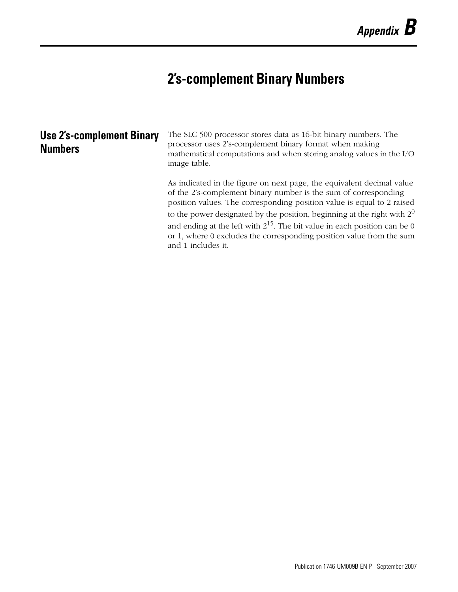# <span id="page-82-0"></span>**2's-complement Binary Numbers**

| <b>Use 2's-complement Binary</b><br><b>Numbers</b> | The SLC 500 processor stores data as 16-bit binary numbers. The<br>processor uses 2's-complement binary format when making<br>mathematical computations and when storing analog values in the I/O<br>image table.  |
|----------------------------------------------------|--------------------------------------------------------------------------------------------------------------------------------------------------------------------------------------------------------------------|
|                                                    | As indicated in the figure on next page, the equivalent decimal value<br>of the 2's-complement binary number is the sum of corresponding<br>position values. The corresponding position value is equal to 2 raised |
|                                                    | to the power designated by the position, beginning at the right with $20$                                                                                                                                          |
|                                                    | and ending at the left with $2^{15}$ . The bit value in each position can be 0                                                                                                                                     |
|                                                    | or 1, where 0 excludes the corresponding position value from the sum<br>and 1 includes it.                                                                                                                         |
|                                                    |                                                                                                                                                                                                                    |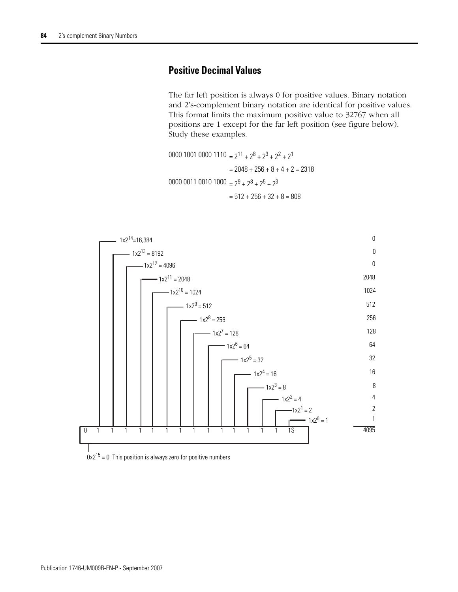## <span id="page-83-0"></span>**Positive Decimal Values**

The far left position is always 0 for positive values. Binary notation and 2's-complement binary notation are identical for positive values. This format limits the maximum positive value to 32767 when all positions are 1 except for the far left position (see figure below). Study these examples.

0000 1001 0000 1110  $= 2^{11} + 2^8 + 2^3 + 2^2 + 2^1$  $= 2048 + 256 + 8 + 4 + 2 = 2318$ 0000 0011 0010 1000  $= 2^9 + 2^8 + 2^5 + 2^3$  $= 512 + 256 + 32 + 8 = 808$ 

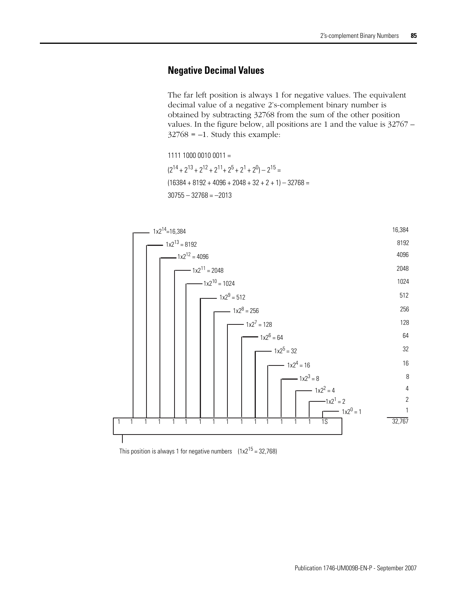## <span id="page-84-0"></span>**Negative Decimal Values**

The far left position is always 1 for negative values. The equivalent decimal value of a negative 2's-complement binary number is obtained by subtracting 32768 from the sum of the other position values. In the figure below, all positions are 1 and the value is 32767 –  $32768 = -1$ . Study this example:

1111 1000 0010 0011 =  $(2^{14} + 2^{13} + 2^{12} + 2^{11} + 2^5 + 2^1 + 2^0) - 2^{15} =$  $(16384 + 8192 + 4096 + 2048 + 32 + 2 + 1) - 32768 =$  $30755 - 32768 = -2013$ 



This position is always 1 for negative numbers  $(1x2^{15} = 32,768)$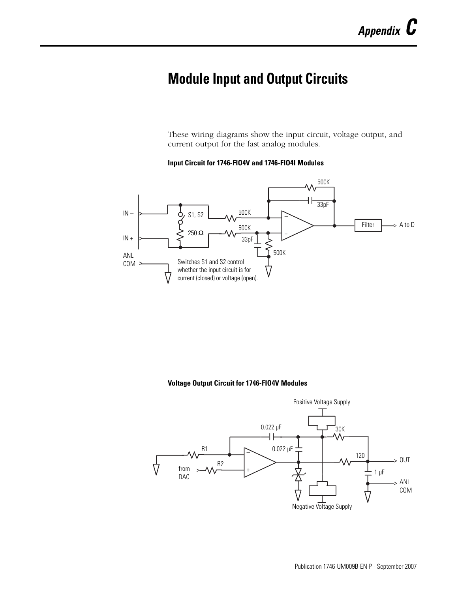# <span id="page-86-0"></span>**Module Input and Output Circuits**

These wiring diagrams show the input circuit, voltage output, and current output for the fast analog modules.

#### **Input Circuit for 1746-FIO4V and 1746-FIO4I Modules**



#### **Voltage Output Circuit for 1746-FIO4V Modules**

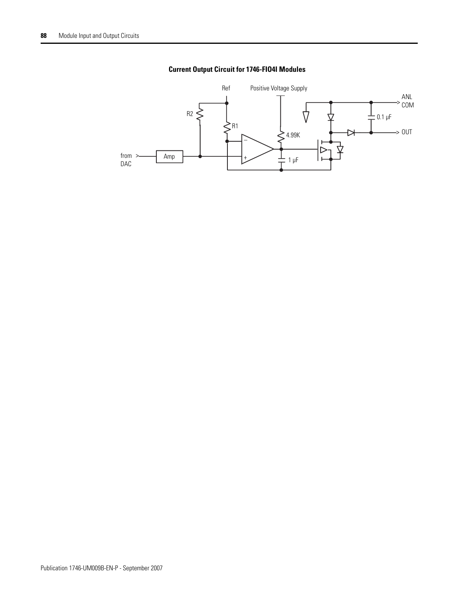

### **Current Output Circuit for 1746-FIO4I Modules**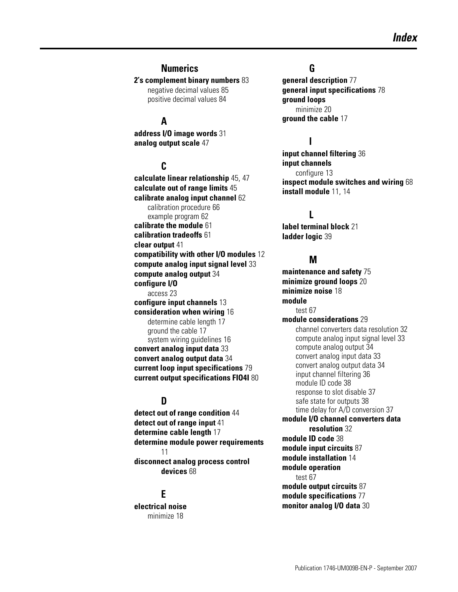#### **Numerics**

**2's complement binary numbers** [83](#page-82-0)

negative decimal values [85](#page-84-0) positive decimal values [84](#page-83-0)

# **A**

**address I/O image words** [31](#page-30-0) **analog output scale** [47](#page-46-0)

## **C**

**calculate linear relationship** [45,](#page-44-0) [47](#page-46-1) **calculate out of range limits** [45](#page-44-1) **calibrate analog input channel** [62](#page-61-0) calibration procedure [66](#page-65-0) example program [62](#page-61-1) **calibrate the module** [61](#page-60-0) **calibration tradeoffs** [61](#page-60-1) **clear output** [41](#page-40-0) **compatibility with other I/O modules** [12](#page-11-0) **compute analog input signal level** [33](#page-32-0) **compute analog output** [34](#page-33-0) **configure I/O** access [23](#page-22-0) **configure input channels** [13](#page-12-0) **consideration when wiring** [16](#page-15-0) determine cable length [17](#page-16-0) ground the cable [17](#page-16-1) system wiring guidelines [16](#page-15-1) **convert analog input data** [33](#page-32-1) **convert analog output data** [34](#page-33-1) **current loop input specifications** [79](#page-78-0) **current output specifications FIO4I** [80](#page-79-0)

## **D**

**detect out of range condition** [44](#page-43-0) **detect out of range input** [41](#page-40-1) **determine cable length** [17](#page-16-2) **determine module power requirements** [11](#page-10-0) **disconnect analog process control devices** [68](#page-67-0)

## **E**

**electrical noise** minimize [18](#page-17-0)

#### **G**

**general description** [77](#page-76-0) **general input specifications** [78](#page-77-0) **ground loops** minimize [20](#page-19-0) **ground the cable** [17](#page-16-1)

## **I**

**input channel filtering** [36](#page-35-0) **input channels** configure [13](#page-12-1) **inspect module switches and wiring** [68](#page-67-1) **install module** [11](#page-10-1), [14](#page-13-0)

## **L**

**label terminal block** [21](#page-20-0) **ladder logic** [39](#page-38-0)

#### **M**

**maintenance and safety** [75](#page-74-0) **minimize ground loops** [20](#page-19-0) **minimize noise** [18](#page-17-0) **module** test [67](#page-66-0) **module considerations** [29](#page-28-0) channel converters data resolution [32](#page-31-0) compute analog input signal level [33](#page-32-2) compute analog output [34](#page-33-0) convert analog input data [33](#page-32-1) convert analog output data [34](#page-33-2) input channel filtering [36](#page-35-0) module ID code [38](#page-37-0) response to slot disable [37](#page-36-0) safe state for outputs [38](#page-37-1) time delay for A/D conversion [37](#page-36-1) **module I/O channel converters data resolution** [32](#page-31-0) **module ID code** [38](#page-37-0) **module input circuits** [87](#page-86-0) **module installation** [14](#page-13-1) **module operation** test [67](#page-66-1) **module output circuits** [87](#page-86-0) **module specifications** [77](#page-76-1) **monitor analog I/O data** [30](#page-29-0)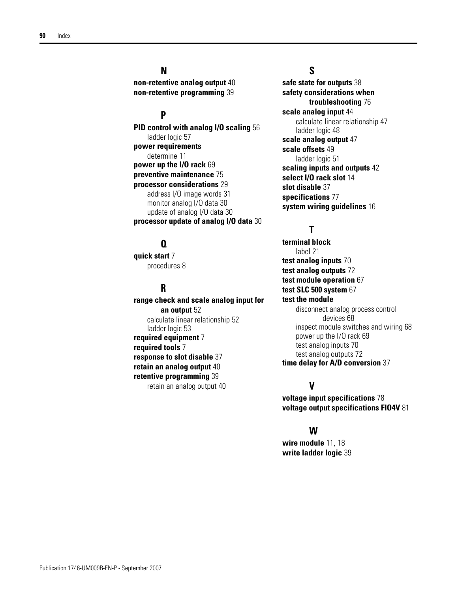## **N**

**non-retentive analog output** [40](#page-39-0) **non-retentive programming** [39](#page-38-1)

## **P**

**PID control with analog I/O scaling** [56](#page-55-0) ladder logic [57](#page-56-0) **power requirements** determine [11](#page-10-0) **power up the I/O rack** [69](#page-68-0) **preventive maintenance** [75](#page-74-1) **processor considerations** [29](#page-28-0) address I/O image words [31](#page-30-1) monitor analog I/O data [30](#page-29-1) update of analog I/O data [30](#page-29-2) **processor update of analog I/O data** [30](#page-29-3)

## **Q**

**quick start** [7](#page-6-0) procedures [8](#page-7-0)

## **R**

**range check and scale analog input for an output** [52](#page-51-0) calculate lin[ear relationship](#page-52-0) [52](#page-51-1) ladder logic 53 **required equipment** [7](#page-6-1) **required tools** [7](#page-6-1) **response to slot disable** [37](#page-36-0) **retain an analog output** [40](#page-39-1) **retentive programming** [39](#page-38-1) retain an analog output [40](#page-39-1)

### **S**

**safe state for outputs** [38](#page-37-1) **safety considerations when troubleshooting** [76](#page-75-0) **scale analog input** [44](#page-43-0) calculate lin[ear relationship](#page-47-0) [47](#page-46-1) ladder logic 48 **scale analog output** [47](#page-46-0) **scale offsets** [49](#page-48-0) ladder logic [51](#page-50-0) **scaling inputs and outputs** [42](#page-41-0) **select I/O rack slot** [14](#page-13-2) **slot disable** [37](#page-36-0) **specifications** [77](#page-76-2) **system wiring guidelines** [16](#page-15-1)

## **T**

**terminal block** label [21](#page-20-1) **test analog inputs** [70](#page-69-0) **test analog outputs** [72](#page-71-0) **test module operation** [67](#page-66-1) **test SLC 500 system** [67](#page-66-2) **test the module** disconnect analo[g process control](#page-67-0)  devices 68 inspect module switches and wiring [68](#page-67-1) power up the I/O rack [69](#page-68-0) test analog inputs [70](#page-69-0) test analog outputs [72](#page-71-0) **time delay for A/D conversion** [37](#page-36-1)

## **V**

**voltage input specifications** [78](#page-77-1) **voltage output specifications FIO4V** [81](#page-80-0)

#### **W**

**wire module** [11](#page-10-1), [18](#page-17-1) **write ladder logic** [39](#page-38-0)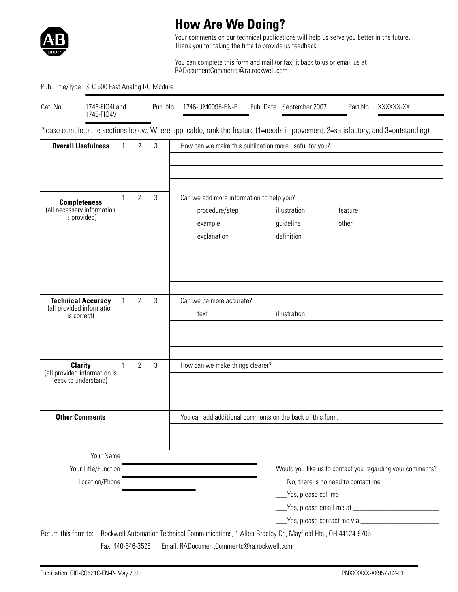

# **How Are We Doing?**

Your comments on our technical publications will help us serve you better in the future. Thank you for taking the time to provide us feedback.

You can complete this form and mail (or fax) it back to us or email us at RADocumentComments@ra.rockwell.com

#### Pub. Title/Type SLC 500 Fast Analog I/O Module

| Cat. No. | 1746-FI04I and<br>1746-FI04V | Pub. No. | 1746-UM009B-EN-P | Pub. Date September 2007 | Part No. | XXXXXX-XX |
|----------|------------------------------|----------|------------------|--------------------------|----------|-----------|
|          |                              |          |                  |                          |          |           |

Please complete the sections below. Where applicable, rank the feature (1=needs improvement, 2=satisfactory, and 3=outstanding).

| <b>Overall Usefulness</b>                         | 1            | $\overline{2}$ | 3 | How can we make this publication more useful for you?                                           |                     |                                                           |  |
|---------------------------------------------------|--------------|----------------|---|-------------------------------------------------------------------------------------------------|---------------------|-----------------------------------------------------------|--|
|                                                   |              |                |   |                                                                                                 |                     |                                                           |  |
|                                                   |              |                |   |                                                                                                 |                     |                                                           |  |
|                                                   | 1            | $\overline{2}$ | 3 | Can we add more information to help you?                                                        |                     |                                                           |  |
| <b>Completeness</b><br>(all necessary information |              |                |   | procedure/step                                                                                  | illustration        | feature                                                   |  |
| is provided)                                      |              |                |   | example                                                                                         | guideline           | other                                                     |  |
|                                                   |              |                |   | explanation                                                                                     | definition          |                                                           |  |
|                                                   |              |                |   |                                                                                                 |                     |                                                           |  |
|                                                   |              |                |   |                                                                                                 |                     |                                                           |  |
|                                                   |              |                |   |                                                                                                 |                     |                                                           |  |
| <b>Technical Accuracy</b>                         | $\mathbf{1}$ | 2              | 3 | Can we be more accurate?                                                                        |                     |                                                           |  |
| (all provided information                         |              |                |   | text                                                                                            | illustration        |                                                           |  |
| is correct)                                       |              |                |   |                                                                                                 |                     |                                                           |  |
|                                                   |              |                |   |                                                                                                 |                     |                                                           |  |
|                                                   |              |                |   |                                                                                                 |                     |                                                           |  |
| <b>Clarity</b><br>(all provided information is    | 1            | $\overline{2}$ | 3 | How can we make things clearer?                                                                 |                     |                                                           |  |
| easy to understand)                               |              |                |   |                                                                                                 |                     |                                                           |  |
|                                                   |              |                |   |                                                                                                 |                     |                                                           |  |
|                                                   |              |                |   |                                                                                                 |                     |                                                           |  |
| <b>Other Comments</b>                             |              |                |   | You can add additional comments on the back of this form.                                       |                     |                                                           |  |
|                                                   |              |                |   |                                                                                                 |                     |                                                           |  |
| Your Name                                         |              |                |   |                                                                                                 |                     |                                                           |  |
| Your Title/Function                               |              |                |   |                                                                                                 |                     | Would you like us to contact you regarding your comments? |  |
| Location/Phone                                    |              |                |   |                                                                                                 |                     | No, there is no need to contact me                        |  |
|                                                   |              |                |   |                                                                                                 | Yes, please call me |                                                           |  |
|                                                   |              |                |   |                                                                                                 |                     |                                                           |  |
|                                                   |              |                |   |                                                                                                 |                     |                                                           |  |
| Return this form to:                              |              |                |   | Rockwell Automation Technical Communications, 1 Allen-Bradley Dr., Mayfield Hts., OH 44124-9705 |                     |                                                           |  |
| Fax: 440-646-3525                                 |              |                |   | Email: RADocumentComments@ra.rockwell.com                                                       |                     |                                                           |  |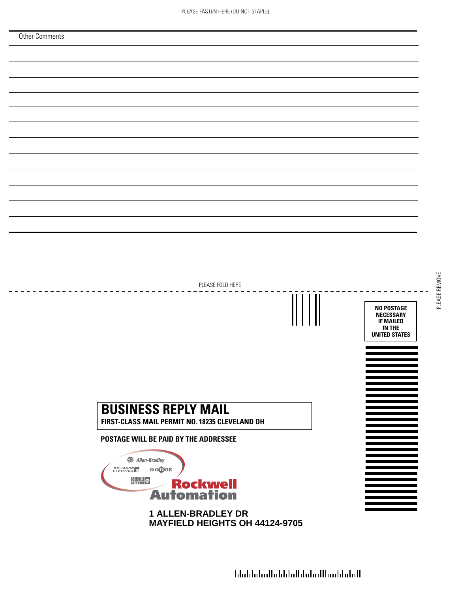